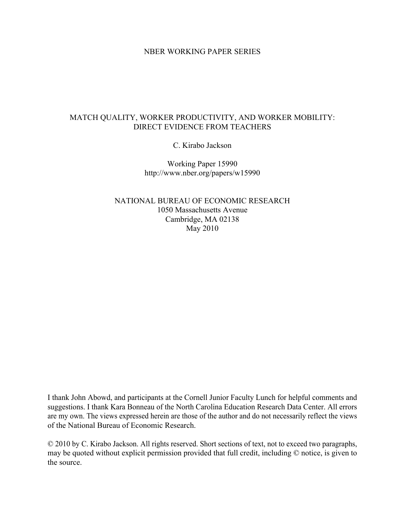#### NBER WORKING PAPER SERIES

## MATCH QUALITY, WORKER PRODUCTIVITY, AND WORKER MOBILITY: DIRECT EVIDENCE FROM TEACHERS

C. Kirabo Jackson

Working Paper 15990 http://www.nber.org/papers/w15990

NATIONAL BUREAU OF ECONOMIC RESEARCH 1050 Massachusetts Avenue Cambridge, MA 02138 May 2010

I thank John Abowd, and participants at the Cornell Junior Faculty Lunch for helpful comments and suggestions. I thank Kara Bonneau of the North Carolina Education Research Data Center. All errors are my own. The views expressed herein are those of the author and do not necessarily reflect the views of the National Bureau of Economic Research.

© 2010 by C. Kirabo Jackson. All rights reserved. Short sections of text, not to exceed two paragraphs, may be quoted without explicit permission provided that full credit, including © notice, is given to the source.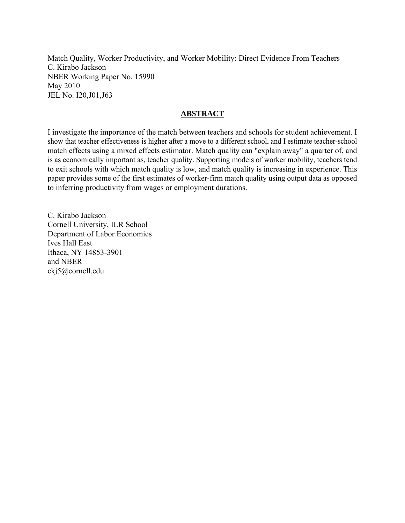Match Quality, Worker Productivity, and Worker Mobility: Direct Evidence From Teachers C. Kirabo Jackson NBER Working Paper No. 15990 May 2010 JEL No. I20,J01,J63

## **ABSTRACT**

I investigate the importance of the match between teachers and schools for student achievement. I show that teacher effectiveness is higher after a move to a different school, and I estimate teacher-school match effects using a mixed effects estimator. Match quality can "explain away" a quarter of, and is as economically important as, teacher quality. Supporting models of worker mobility, teachers tend to exit schools with which match quality is low, and match quality is increasing in experience. This paper provides some of the first estimates of worker-firm match quality using output data as opposed to inferring productivity from wages or employment durations.

C. Kirabo Jackson Cornell University, ILR School Department of Labor Economics Ives Hall East Ithaca, NY 14853-3901 and NBER ckj5@cornell.edu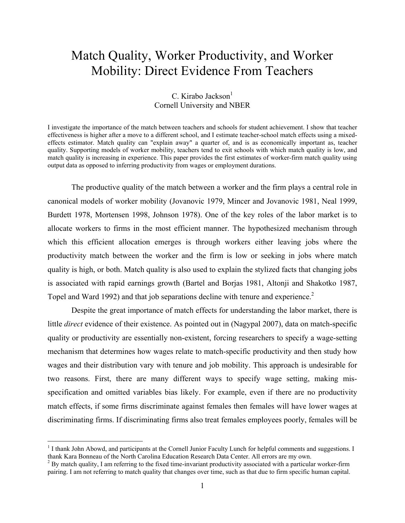# Match Quality, Worker Productivity, and Worker Mobility: Direct Evidence From Teachers

## $C.$  Kirabo Jackson $<sup>1</sup>$ </sup> Cornell University and NBER

I investigate the importance of the match between teachers and schools for student achievement. I show that teacher effectiveness is higher after a move to a different school, and I estimate teacher-school match effects using a mixedeffects estimator. Match quality can "explain away" a quarter of, and is as economically important as, teacher quality. Supporting models of worker mobility, teachers tend to exit schools with which match quality is low, and match quality is increasing in experience. This paper provides the first estimates of worker-firm match quality using output data as opposed to inferring productivity from wages or employment durations.

 The productive quality of the match between a worker and the firm plays a central role in canonical models of worker mobility (Jovanovic 1979, Mincer and Jovanovic 1981, Neal 1999, Burdett 1978, Mortensen 1998, Johnson 1978). One of the key roles of the labor market is to allocate workers to firms in the most efficient manner. The hypothesized mechanism through which this efficient allocation emerges is through workers either leaving jobs where the productivity match between the worker and the firm is low or seeking in jobs where match quality is high, or both. Match quality is also used to explain the stylized facts that changing jobs is associated with rapid earnings growth (Bartel and Borjas 1981, Altonji and Shakotko 1987, Topel and Ward 1992) and that job separations decline with tenure and experience.<sup>2</sup>

 Despite the great importance of match effects for understanding the labor market, there is little *direct* evidence of their existence. As pointed out in (Nagypal 2007), data on match-specific quality or productivity are essentially non-existent, forcing researchers to specify a wage-setting mechanism that determines how wages relate to match-specific productivity and then study how wages and their distribution vary with tenure and job mobility. This approach is undesirable for two reasons. First, there are many different ways to specify wage setting, making misspecification and omitted variables bias likely. For example, even if there are no productivity match effects, if some firms discriminate against females then females will have lower wages at discriminating firms. If discriminating firms also treat females employees poorly, females will be

 $\overline{a}$ 

<sup>&</sup>lt;sup>1</sup> I thank John Abowd, and participants at the Cornell Junior Faculty Lunch for helpful comments and suggestions. I thank Kara Bonneau of the North Carolina Education Research Data Center. All errors are my own. 2

 $2$  By match quality, I am referring to the fixed time-invariant productivity associated with a particular worker-firm pairing. I am not referring to match quality that changes over time, such as that due to firm specific human capital.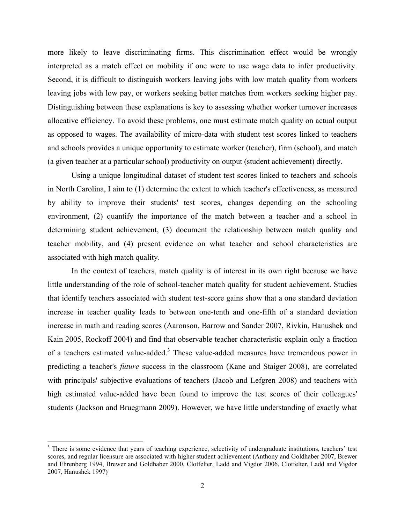more likely to leave discriminating firms. This discrimination effect would be wrongly interpreted as a match effect on mobility if one were to use wage data to infer productivity. Second, it is difficult to distinguish workers leaving jobs with low match quality from workers leaving jobs with low pay, or workers seeking better matches from workers seeking higher pay. Distinguishing between these explanations is key to assessing whether worker turnover increases allocative efficiency. To avoid these problems, one must estimate match quality on actual output as opposed to wages. The availability of micro-data with student test scores linked to teachers and schools provides a unique opportunity to estimate worker (teacher), firm (school), and match (a given teacher at a particular school) productivity on output (student achievement) directly.

 Using a unique longitudinal dataset of student test scores linked to teachers and schools in North Carolina, I aim to (1) determine the extent to which teacher's effectiveness, as measured by ability to improve their students' test scores, changes depending on the schooling environment, (2) quantify the importance of the match between a teacher and a school in determining student achievement, (3) document the relationship between match quality and teacher mobility, and (4) present evidence on what teacher and school characteristics are associated with high match quality.

 In the context of teachers, match quality is of interest in its own right because we have little understanding of the role of school-teacher match quality for student achievement. Studies that identify teachers associated with student test-score gains show that a one standard deviation increase in teacher quality leads to between one-tenth and one-fifth of a standard deviation increase in math and reading scores (Aaronson, Barrow and Sander 2007, Rivkin, Hanushek and Kain 2005, Rockoff 2004) and find that observable teacher characteristic explain only a fraction of a teachers estimated value-added.<sup>3</sup> These value-added measures have tremendous power in predicting a teacher's *future* success in the classroom (Kane and Staiger 2008), are correlated with principals' subjective evaluations of teachers (Jacob and Lefgren 2008) and teachers with high estimated value-added have been found to improve the test scores of their colleagues' students (Jackson and Bruegmann 2009). However, we have little understanding of exactly what

 $\overline{a}$ 

<sup>&</sup>lt;sup>3</sup> There is some evidence that years of teaching experience, selectivity of undergraduate institutions, teachers' test scores, and regular licensure are associated with higher student achievement (Anthony and Goldhaber 2007, Brewer and Ehrenberg 1994, Brewer and Goldhaber 2000, Clotfelter, Ladd and Vigdor 2006, Clotfelter, Ladd and Vigdor 2007, Hanushek 1997)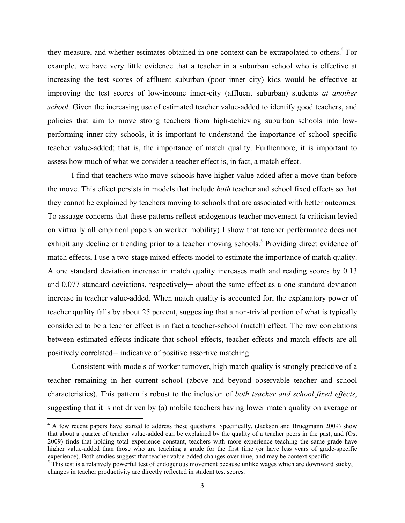they measure, and whether estimates obtained in one context can be extrapolated to others.<sup>4</sup> For example, we have very little evidence that a teacher in a suburban school who is effective at increasing the test scores of affluent suburban (poor inner city) kids would be effective at improving the test scores of low-income inner-city (affluent suburban) students *at another school*. Given the increasing use of estimated teacher value-added to identify good teachers, and policies that aim to move strong teachers from high-achieving suburban schools into lowperforming inner-city schools, it is important to understand the importance of school specific teacher value-added; that is, the importance of match quality. Furthermore, it is important to assess how much of what we consider a teacher effect is, in fact, a match effect.

 I find that teachers who move schools have higher value-added after a move than before the move. This effect persists in models that include *both* teacher and school fixed effects so that they cannot be explained by teachers moving to schools that are associated with better outcomes. To assuage concerns that these patterns reflect endogenous teacher movement (a criticism levied on virtually all empirical papers on worker mobility) I show that teacher performance does not exhibit any decline or trending prior to a teacher moving schools.<sup>5</sup> Providing direct evidence of match effects, I use a two-stage mixed effects model to estimate the importance of match quality. A one standard deviation increase in match quality increases math and reading scores by 0.13 and 0.077 standard deviations, respectively— about the same effect as a one standard deviation increase in teacher value-added. When match quality is accounted for, the explanatory power of teacher quality falls by about 25 percent, suggesting that a non-trivial portion of what is typically considered to be a teacher effect is in fact a teacher-school (match) effect. The raw correlations between estimated effects indicate that school effects, teacher effects and match effects are all positively correlated— indicative of positive assortive matching.

 Consistent with models of worker turnover, high match quality is strongly predictive of a teacher remaining in her current school (above and beyond observable teacher and school characteristics). This pattern is robust to the inclusion of *both teacher and school fixed effects*, suggesting that it is not driven by (a) mobile teachers having lower match quality on average or

<u>.</u>

<sup>&</sup>lt;sup>4</sup> A few recent papers have started to address these questions. Specifically, (Jackson and Bruegmann 2009) show that about a quarter of teacher value-added can be explained by the quality of a teacher peers in the past, and (Ost 2009) finds that holding total experience constant, teachers with more experience teaching the same grade have higher value-added than those who are teaching a grade for the first time (or have less years of grade-specific experience). Both studies suggest that teacher value-added changes over time, and may be context specific.

 $5$  This test is a relatively powerful test of endogenous movement because unlike wages which are downward sticky, changes in teacher productivity are directly reflected in student test scores.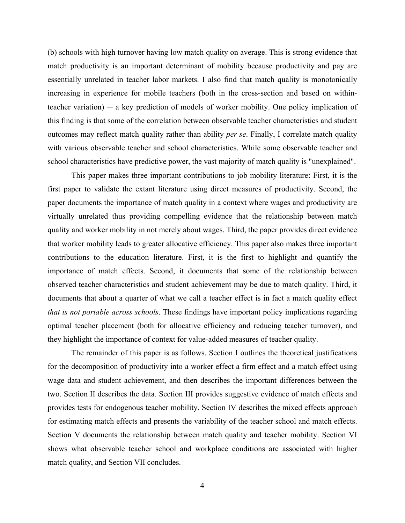(b) schools with high turnover having low match quality on average. This is strong evidence that match productivity is an important determinant of mobility because productivity and pay are essentially unrelated in teacher labor markets. I also find that match quality is monotonically increasing in experience for mobile teachers (both in the cross-section and based on withinteacher variation)  $-$  a key prediction of models of worker mobility. One policy implication of this finding is that some of the correlation between observable teacher characteristics and student outcomes may reflect match quality rather than ability *per se*. Finally, I correlate match quality with various observable teacher and school characteristics. While some observable teacher and school characteristics have predictive power, the vast majority of match quality is "unexplained".

 This paper makes three important contributions to job mobility literature: First, it is the first paper to validate the extant literature using direct measures of productivity. Second, the paper documents the importance of match quality in a context where wages and productivity are virtually unrelated thus providing compelling evidence that the relationship between match quality and worker mobility in not merely about wages. Third, the paper provides direct evidence that worker mobility leads to greater allocative efficiency. This paper also makes three important contributions to the education literature. First, it is the first to highlight and quantify the importance of match effects. Second, it documents that some of the relationship between observed teacher characteristics and student achievement may be due to match quality. Third, it documents that about a quarter of what we call a teacher effect is in fact a match quality effect *that is not portable across schools*. These findings have important policy implications regarding optimal teacher placement (both for allocative efficiency and reducing teacher turnover), and they highlight the importance of context for value-added measures of teacher quality.

 The remainder of this paper is as follows. Section I outlines the theoretical justifications for the decomposition of productivity into a worker effect a firm effect and a match effect using wage data and student achievement, and then describes the important differences between the two. Section II describes the data. Section III provides suggestive evidence of match effects and provides tests for endogenous teacher mobility. Section IV describes the mixed effects approach for estimating match effects and presents the variability of the teacher school and match effects. Section V documents the relationship between match quality and teacher mobility. Section VI shows what observable teacher school and workplace conditions are associated with higher match quality, and Section VII concludes.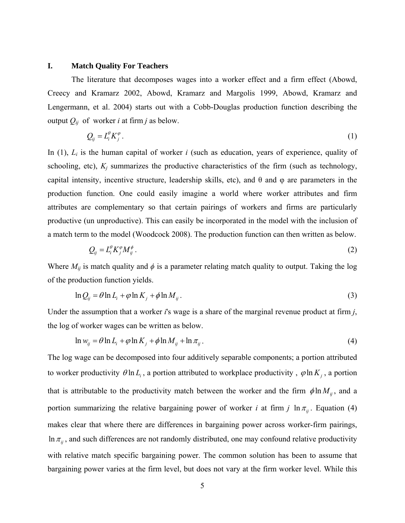#### **I. Match Quality For Teachers**

 The literature that decomposes wages into a worker effect and a firm effect (Abowd, Creecy and Kramarz 2002, Abowd, Kramarz and Margolis 1999, Abowd, Kramarz and Lengermann, et al. 2004) starts out with a Cobb-Douglas production function describing the output  $Q_{ij}$  of worker *i* at firm *j* as below.

$$
Q_{ij} = L_i^{\theta} K_j^{\varphi} \,. \tag{1}
$$

In (1), *Li* is the human capital of worker *i* (such as education, years of experience, quality of schooling, etc),  $K_j$  summarizes the productive characteristics of the firm (such as technology, capital intensity, incentive structure, leadership skills, etc), and  $\theta$  and  $\varphi$  are parameters in the production function. One could easily imagine a world where worker attributes and firm attributes are complementary so that certain pairings of workers and firms are particularly productive (un unproductive). This can easily be incorporated in the model with the inclusion of a match term to the model (Woodcock 2008). The production function can then written as below.

$$
Q_{ij} = L_i^{\theta} K_j^{\varphi} M_{ij}^{\phi} \,. \tag{2}
$$

Where  $M_{ij}$  is match quality and  $\phi$  is a parameter relating match quality to output. Taking the log of the production function yields.

$$
\ln Q_{ij} = \theta \ln L_i + \varphi \ln K_j + \phi \ln M_{ij} \,. \tag{3}
$$

Under the assumption that a worker *i*'s wage is a share of the marginal revenue product at firm *j*, the log of worker wages can be written as below.

$$
\ln w_{ij} = \theta \ln L_i + \varphi \ln K_j + \phi \ln M_{ij} + \ln \pi_{ij} \,. \tag{4}
$$

The log wage can be decomposed into four additively separable components; a portion attributed to worker productivity  $\theta \ln L_i$ , a portion attributed to workplace productivity,  $\phi \ln K_i$ , a portion that is attributable to the productivity match between the worker and the firm  $\phi \ln M_{ij}$ , and a portion summarizing the relative bargaining power of worker *i* at firm *j*  $\ln \pi$ <sub>*ii*</sub>. Equation (4) makes clear that where there are differences in bargaining power across worker-firm pairings,  $\ln \pi_{ii}$ , and such differences are not randomly distributed, one may confound relative productivity with relative match specific bargaining power. The common solution has been to assume that bargaining power varies at the firm level, but does not vary at the firm worker level. While this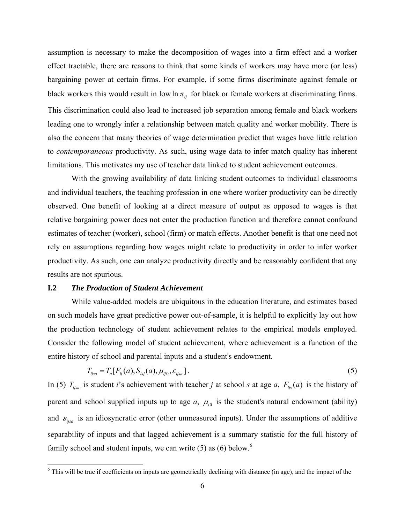assumption is necessary to make the decomposition of wages into a firm effect and a worker effect tractable, there are reasons to think that some kinds of workers may have more (or less) bargaining power at certain firms. For example, if some firms discriminate against female or black workers this would result in low  $\ln \pi_{ij}$  for black or female workers at discriminating firms. This discrimination could also lead to increased job separation among female and black workers leading one to wrongly infer a relationship between match quality and worker mobility. There is also the concern that many theories of wage determination predict that wages have little relation to *contemporaneous* productivity. As such, using wage data to infer match quality has inherent limitations. This motivates my use of teacher data linked to student achievement outcomes.

 With the growing availability of data linking student outcomes to individual classrooms and individual teachers, the teaching profession in one where worker productivity can be directly observed. One benefit of looking at a direct measure of output as opposed to wages is that relative bargaining power does not enter the production function and therefore cannot confound estimates of teacher (worker), school (firm) or match effects. Another benefit is that one need not rely on assumptions regarding how wages might relate to productivity in order to infer worker productivity. As such, one can analyze productivity directly and be reasonably confident that any results are not spurious.

#### **I.2** *The Production of Student Achievement*

 While value-added models are ubiquitous in the education literature, and estimates based on such models have great predictive power out-of-sample, it is helpful to explicitly lay out how the production technology of student achievement relates to the empirical models employed. Consider the following model of student achievement, where achievement is a function of the entire history of school and parental inputs and a student's endowment.

$$
T_{ijsa} = T_a[F_{ij}(a), S_{isj}(a), \mu_{ij0}, \varepsilon_{ijsa}].
$$
\n(5)

In (5)  $T_{ijsa}$  is student *i*'s achievement with teacher *j* at school *s* at age *a*,  $F_{ijs}(a)$  is the history of parent and school supplied inputs up to age  $a$ ,  $\mu_{i0}$  is the student's natural endowment (ability) and  $\varepsilon_{ijsa}$  is an idiosyncratic error (other unmeasured inputs). Under the assumptions of additive separability of inputs and that lagged achievement is a summary statistic for the full history of family school and student inputs, we can write  $(5)$  as  $(6)$  below.<sup>6</sup>

<sup>&</sup>lt;sup>6</sup> This will be true if coefficients on inputs are geometrically declining with distance (in age), and the impact of the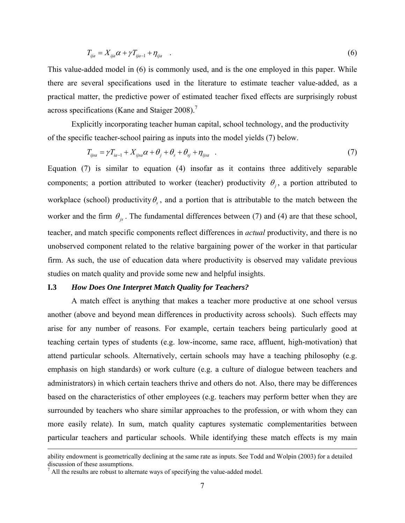$$
T_{ij} = X_{ij} \alpha + \gamma T_{ij} + \eta_{ij}
$$
 (6)

This value-added model in (6) is commonly used, and is the one employed in this paper. While there are several specifications used in the literature to estimate teacher value-added, as a practical matter, the predictive power of estimated teacher fixed effects are surprisingly robust across specifications (Kane and Staiger 2008).<sup>7</sup>

 Explicitly incorporating teacher human capital, school technology, and the productivity of the specific teacher-school pairing as inputs into the model yields (7) below.

$$
T_{ijsa} = \gamma T_{ia-1} + X_{ijsa}\alpha + \theta_j + \theta_s + \theta_{sj} + \eta_{ijsa} \quad . \tag{7}
$$

Equation (7) is similar to equation (4) insofar as it contains three additively separable components; a portion attributed to worker (teacher) productivity  $\theta$ <sub>i</sub>, a portion attributed to workplace (school) productivity  $\theta_s$ , and a portion that is attributable to the match between the worker and the firm  $\theta_{is}$ . The fundamental differences between (7) and (4) are that these school, teacher, and match specific components reflect differences in *actual* productivity, and there is no unobserved component related to the relative bargaining power of the worker in that particular firm. As such, the use of education data where productivity is observed may validate previous studies on match quality and provide some new and helpful insights.

## **I.3** *How Does One Interpret Match Quality for Teachers?*

A match effect is anything that makes a teacher more productive at one school versus another (above and beyond mean differences in productivity across schools). Such effects may arise for any number of reasons. For example, certain teachers being particularly good at teaching certain types of students (e.g. low-income, same race, affluent, high-motivation) that attend particular schools. Alternatively, certain schools may have a teaching philosophy (e.g. emphasis on high standards) or work culture (e.g. a culture of dialogue between teachers and administrators) in which certain teachers thrive and others do not. Also, there may be differences based on the characteristics of other employees (e.g. teachers may perform better when they are surrounded by teachers who share similar approaches to the profession, or with whom they can more easily relate). In sum, match quality captures systematic complementarities between particular teachers and particular schools. While identifying these match effects is my main

ability endowment is geometrically declining at the same rate as inputs. See Todd and Wolpin (2003) for a detailed discussion of these assumptions.

 $<sup>7</sup>$  All the results are robust to alternate ways of specifying the value-added model.</sup>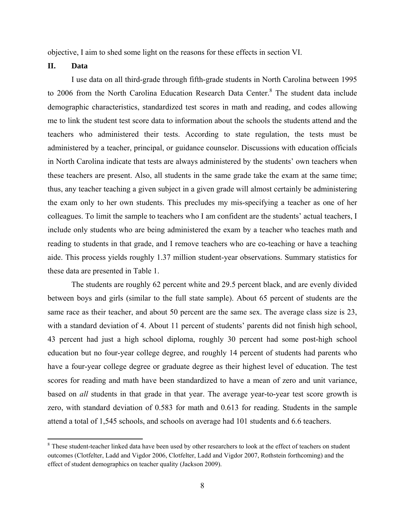objective, I aim to shed some light on the reasons for these effects in section VI.

## **II. Data**

 $\overline{a}$ 

I use data on all third-grade through fifth-grade students in North Carolina between 1995 to 2006 from the North Carolina Education Research Data Center.<sup>8</sup> The student data include demographic characteristics, standardized test scores in math and reading, and codes allowing me to link the student test score data to information about the schools the students attend and the teachers who administered their tests. According to state regulation, the tests must be administered by a teacher, principal, or guidance counselor. Discussions with education officials in North Carolina indicate that tests are always administered by the students' own teachers when these teachers are present. Also, all students in the same grade take the exam at the same time; thus, any teacher teaching a given subject in a given grade will almost certainly be administering the exam only to her own students. This precludes my mis-specifying a teacher as one of her colleagues. To limit the sample to teachers who I am confident are the students' actual teachers, I include only students who are being administered the exam by a teacher who teaches math and reading to students in that grade, and I remove teachers who are co-teaching or have a teaching aide. This process yields roughly 1.37 million student-year observations. Summary statistics for these data are presented in Table 1.

The students are roughly 62 percent white and 29.5 percent black, and are evenly divided between boys and girls (similar to the full state sample). About 65 percent of students are the same race as their teacher, and about 50 percent are the same sex. The average class size is 23, with a standard deviation of 4. About 11 percent of students' parents did not finish high school, 43 percent had just a high school diploma, roughly 30 percent had some post-high school education but no four-year college degree, and roughly 14 percent of students had parents who have a four-year college degree or graduate degree as their highest level of education. The test scores for reading and math have been standardized to have a mean of zero and unit variance, based on *all* students in that grade in that year. The average year-to-year test score growth is zero, with standard deviation of 0.583 for math and 0.613 for reading. Students in the sample attend a total of 1,545 schools, and schools on average had 101 students and 6.6 teachers.

<sup>&</sup>lt;sup>8</sup> These student-teacher linked data have been used by other researchers to look at the effect of teachers on student outcomes (Clotfelter, Ladd and Vigdor 2006, Clotfelter, Ladd and Vigdor 2007, Rothstein forthcoming) and the effect of student demographics on teacher quality (Jackson 2009).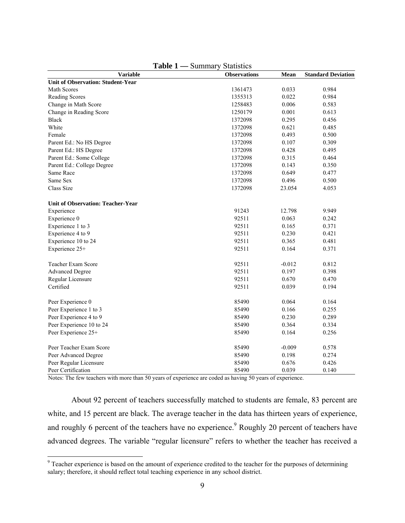| <b>Variable</b>                          | <b>Observations</b> | Mean     | <b>Standard Deviation</b> |
|------------------------------------------|---------------------|----------|---------------------------|
| <b>Unit of Observation: Student-Year</b> |                     |          |                           |
| Math Scores                              | 1361473             | 0.033    | 0.984                     |
| Reading Scores                           | 1355313             | 0.022    | 0.984                     |
| Change in Math Score                     | 1258483             | 0.006    | 0.583                     |
| Change in Reading Score                  | 1250179             | 0.001    | 0.613                     |
| <b>Black</b>                             | 1372098             | 0.295    | 0.456                     |
| White                                    | 1372098             | 0.621    | 0.485                     |
| Female                                   | 1372098             | 0.493    | 0.500                     |
| Parent Ed.: No HS Degree                 | 1372098             | 0.107    | 0.309                     |
| Parent Ed.: HS Degree                    | 1372098             | 0.428    | 0.495                     |
| Parent Ed.: Some College                 | 1372098             | 0.315    | 0.464                     |
| Parent Ed.: College Degree               | 1372098             | 0.143    | 0.350                     |
| Same Race                                | 1372098             | 0.649    | 0.477                     |
| Same Sex                                 | 1372098             | 0.496    | 0.500                     |
| Class Size                               | 1372098             | 23.054   | 4.053                     |
| <b>Unit of Observation: Teacher-Year</b> |                     |          |                           |
| Experience                               | 91243               | 12.798   | 9.949                     |
| Experience 0                             | 92511               | 0.063    | 0.242                     |
| Experience 1 to 3                        | 92511               | 0.165    | 0.371                     |
| Experience 4 to 9                        | 92511               | 0.230    | 0.421                     |
| Experience 10 to 24                      | 92511               | 0.365    | 0.481                     |
| Experience 25+                           | 92511               | 0.164    | 0.371                     |
| Teacher Exam Score                       | 92511               | $-0.012$ | 0.812                     |
| <b>Advanced Degree</b>                   | 92511               | 0.197    | 0.398                     |
| Regular Licensure                        | 92511               | 0.670    | 0.470                     |
| Certified                                | 92511               | 0.039    | 0.194                     |
| Peer Experience 0                        | 85490               | 0.064    | 0.164                     |
| Peer Experience 1 to 3                   | 85490               | 0.166    | 0.255                     |
| Peer Experience 4 to 9                   | 85490               | 0.230    | 0.289                     |
| Peer Experience 10 to 24                 | 85490               | 0.364    | 0.334                     |
| Peer Experience 25+                      | 85490               | 0.164    | 0.256                     |
| Peer Teacher Exam Score                  | 85490               | $-0.009$ | 0.578                     |
| Peer Advanced Degree                     | 85490               | 0.198    | 0.274                     |
| Peer Regular Licensure                   | 85490               | 0.676    | 0.426                     |
| Peer Certification                       | 85490               | 0.039    | 0.140                     |

**Table 1 —** Summary Statistics

Notes: The few teachers with more than 50 years of experience are coded as having 50 years of experience.

About 92 percent of teachers successfully matched to students are female, 83 percent are white, and 15 percent are black. The average teacher in the data has thirteen years of experience, and roughly 6 percent of the teachers have no experience.<sup>9</sup> Roughly 20 percent of teachers have advanced degrees. The variable "regular licensure" refers to whether the teacher has received a

<sup>&</sup>lt;sup>9</sup> Teacher experience is based on the amount of experience credited to the teacher for the purposes of determining salary; therefore, it should reflect total teaching experience in any school district.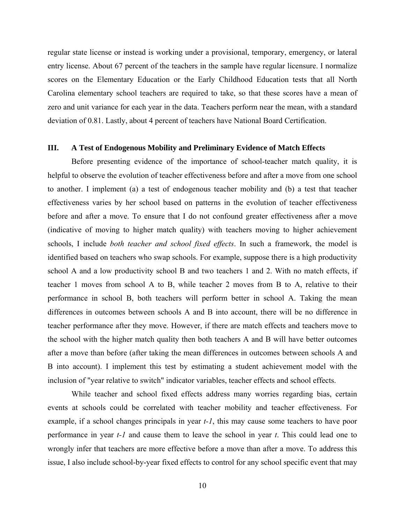regular state license or instead is working under a provisional, temporary, emergency, or lateral entry license. About 67 percent of the teachers in the sample have regular licensure. I normalize scores on the Elementary Education or the Early Childhood Education tests that all North Carolina elementary school teachers are required to take, so that these scores have a mean of zero and unit variance for each year in the data. Teachers perform near the mean, with a standard deviation of 0.81. Lastly, about 4 percent of teachers have National Board Certification.

#### **III. A Test of Endogenous Mobility and Preliminary Evidence of Match Effects**

 Before presenting evidence of the importance of school-teacher match quality, it is helpful to observe the evolution of teacher effectiveness before and after a move from one school to another. I implement (a) a test of endogenous teacher mobility and (b) a test that teacher effectiveness varies by her school based on patterns in the evolution of teacher effectiveness before and after a move. To ensure that I do not confound greater effectiveness after a move (indicative of moving to higher match quality) with teachers moving to higher achievement schools, I include *both teacher and school fixed effects*. In such a framework, the model is identified based on teachers who swap schools. For example, suppose there is a high productivity school A and a low productivity school B and two teachers 1 and 2. With no match effects, if teacher 1 moves from school A to B, while teacher 2 moves from B to A, relative to their performance in school B, both teachers will perform better in school A. Taking the mean differences in outcomes between schools A and B into account, there will be no difference in teacher performance after they move. However, if there are match effects and teachers move to the school with the higher match quality then both teachers A and B will have better outcomes after a move than before (after taking the mean differences in outcomes between schools A and B into account). I implement this test by estimating a student achievement model with the inclusion of "year relative to switch" indicator variables, teacher effects and school effects.

 While teacher and school fixed effects address many worries regarding bias, certain events at schools could be correlated with teacher mobility and teacher effectiveness. For example, if a school changes principals in year *t-1*, this may cause some teachers to have poor performance in year *t-1* and cause them to leave the school in year *t*. This could lead one to wrongly infer that teachers are more effective before a move than after a move. To address this issue, I also include school-by-year fixed effects to control for any school specific event that may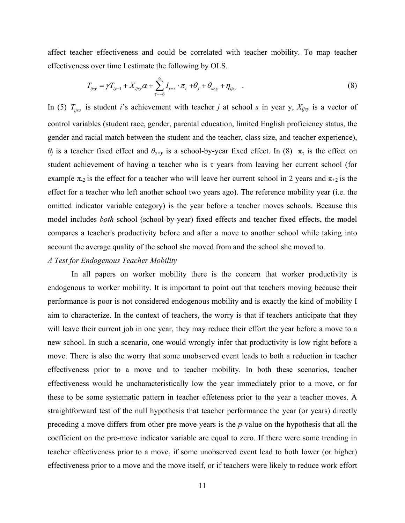affect teacher effectiveness and could be correlated with teacher mobility. To map teacher effectiveness over time I estimate the following by OLS.

$$
T_{ijsy} = \gamma T_{iy-1} + X_{ijsy}\alpha + \sum_{\tau=-6}^{6} I_{t=\tau} \cdot \pi_{\tau} + \theta_j + \theta_{s\times y} + \eta_{ijsy} \quad . \tag{8}
$$

In (5)  $T_{ijsa}$  is student *i*'s achievement with teacher *j* at school *s* in year y,  $X_{ijsy}$  is a vector of control variables (student race, gender, parental education, limited English proficiency status, the gender and racial match between the student and the teacher, class size, and teacher experience), *θ<sub>i</sub>* is a teacher fixed effect and  $\theta_{s\times y}$  is a school-by-year fixed effect. In (8)  $\pi_{\tau}$  is the effect on student achievement of having a teacher who is  $\tau$  years from leaving her current school (for example  $\pi_{2}$  is the effect for a teacher who will leave her current school in 2 years and  $\pi_{+2}$  is the effect for a teacher who left another school two years ago). The reference mobility year (i.e. the omitted indicator variable category) is the year before a teacher moves schools. Because this model includes *both* school (school-by-year) fixed effects and teacher fixed effects, the model compares a teacher's productivity before and after a move to another school while taking into account the average quality of the school she moved from and the school she moved to.

## *A Test for Endogenous Teacher Mobility*

 In all papers on worker mobility there is the concern that worker productivity is endogenous to worker mobility. It is important to point out that teachers moving because their performance is poor is not considered endogenous mobility and is exactly the kind of mobility I aim to characterize. In the context of teachers, the worry is that if teachers anticipate that they will leave their current job in one year, they may reduce their effort the year before a move to a new school. In such a scenario, one would wrongly infer that productivity is low right before a move. There is also the worry that some unobserved event leads to both a reduction in teacher effectiveness prior to a move and to teacher mobility. In both these scenarios, teacher effectiveness would be uncharacteristically low the year immediately prior to a move, or for these to be some systematic pattern in teacher effeteness prior to the year a teacher moves. A straightforward test of the null hypothesis that teacher performance the year (or years) directly preceding a move differs from other pre move years is the *p*-value on the hypothesis that all the coefficient on the pre-move indicator variable are equal to zero. If there were some trending in teacher effectiveness prior to a move, if some unobserved event lead to both lower (or higher) effectiveness prior to a move and the move itself, or if teachers were likely to reduce work effort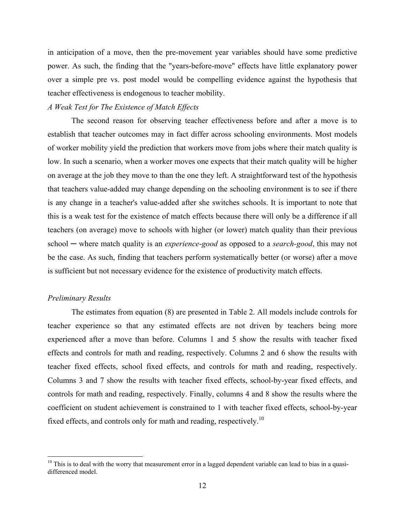in anticipation of a move, then the pre-movement year variables should have some predictive power. As such, the finding that the "years-before-move" effects have little explanatory power over a simple pre vs. post model would be compelling evidence against the hypothesis that teacher effectiveness is endogenous to teacher mobility.

## *A Weak Test for The Existence of Match Effects*

The second reason for observing teacher effectiveness before and after a move is to establish that teacher outcomes may in fact differ across schooling environments. Most models of worker mobility yield the prediction that workers move from jobs where their match quality is low. In such a scenario, when a worker moves one expects that their match quality will be higher on average at the job they move to than the one they left. A straightforward test of the hypothesis that teachers value-added may change depending on the schooling environment is to see if there is any change in a teacher's value-added after she switches schools. It is important to note that this is a weak test for the existence of match effects because there will only be a difference if all teachers (on average) move to schools with higher (or lower) match quality than their previous school ─ where match quality is an *experience-good* as opposed to a *search-good*, this may not be the case. As such, finding that teachers perform systematically better (or worse) after a move is sufficient but not necessary evidence for the existence of productivity match effects.

#### *Preliminary Results*

 $\overline{a}$ 

The estimates from equation (8) are presented in Table 2. All models include controls for teacher experience so that any estimated effects are not driven by teachers being more experienced after a move than before. Columns 1 and 5 show the results with teacher fixed effects and controls for math and reading, respectively. Columns 2 and 6 show the results with teacher fixed effects, school fixed effects, and controls for math and reading, respectively. Columns 3 and 7 show the results with teacher fixed effects, school-by-year fixed effects, and controls for math and reading, respectively. Finally, columns 4 and 8 show the results where the coefficient on student achievement is constrained to 1 with teacher fixed effects, school-by-year fixed effects, and controls only for math and reading, respectively.<sup>10</sup>

<sup>&</sup>lt;sup>10</sup> This is to deal with the worry that measurement error in a lagged dependent variable can lead to bias in a quasidifferenced model.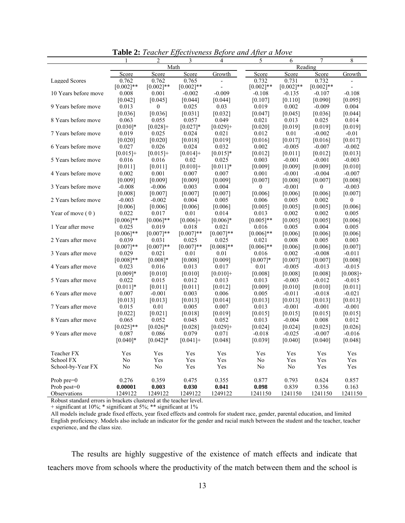| Math<br>Reading<br>Score<br>Score<br>Growth<br>Score<br>Score<br>Score<br>Growth<br>Score<br>0.762<br><b>Lagged Scores</b><br>0.762<br>0.765<br>0.732<br>0.731<br>0.732<br>$[0.002]**$<br>$[0.002]**$<br>$[0.002]$ **<br>$[0.002]$ **<br>$[0.002]**$<br>$[0.002]$ **<br>10 Years before move<br>0.008<br>0.001<br>$-0.002$<br>$-0.009$<br>$-0.108$<br>$-0.135$<br>$-0.107$<br>$-0.108$<br>[0.042]<br>[0.045]<br>[0.044]<br>[0.044]<br>[0.107]<br>[0.110]<br>[0.090]<br>[0.095]<br>9 Years before move<br>0.013<br>0.025<br>0.03<br>0.019<br>0.002<br>$-0.009$<br>0.004<br>$\mathbf{0}$<br>[0.036]<br>[0.036]<br>[0.036]<br>[0.031]<br>[0.032]<br>[0.047]<br>[0.045]<br>[0.044]<br>8 Years before move<br>0.063<br>0.055<br>0.057<br>0.049<br>0.021<br>0.013<br>0.025<br>0.014<br>$[0.030]*$<br>$[0.027]$ *<br>$[0.028]+$<br>$[0.029]+$<br>[0.020]<br>[0.019]<br>[0.019]<br>[0.019]<br>7 Years before move<br>0.019<br>0.025<br>0.024<br>0.021<br>0.012<br>0.01<br>$-0.002$<br>$-0.01$<br>[0.016]<br>[0.016]<br>[0.020]<br>[0.020]<br>[0.018]<br>[0.019]<br>[0.017]<br>[0.017]<br>6 Years before move<br>0.027<br>0.026<br>0.024<br>0.032<br>0.002<br>$-0.007$<br>$-0.002$<br>$-0.005$<br>$[0.015]+$<br>$[0.015]+$<br>$[0.014] +$<br>$[0.015]$ *<br>[0.012]<br>[0.011]<br>[0.012]<br>[0.013]<br>5 Years before move<br>0.016<br>0.016<br>0.02<br>0.025<br>0.003<br>$-0.001$<br>$-0.001$<br>$-0.003$<br>[0.011]<br>[0.011]<br>$[0.010]+$<br>$[0.011]$ *<br>[0.009]<br>[0.009]<br>[0.009]<br>[0.010]<br>4 Years before move<br>0.002<br>0.001<br>0.007<br>0.007<br>0.001<br>$-0.001$<br>$-0.004$<br>$-0.007$<br>[0.009]<br>[0.009]<br>[0.009]<br>[0.009]<br>[0.007]<br>[0.008]<br>[0.007]<br>[0.008]<br>3 Years before move<br>$-0.008$<br>$-0.006$<br>0.003<br>0.004<br>$-0.001$<br>$\theta$<br>$\theta$<br>$-0.003$<br>[0.008]<br>[0.007]<br>[0.007]<br>[0.007]<br>[0.006]<br>[0.006]<br>[0.006]<br>[0.007]<br>2 Years before move<br>$-0.003$<br>$-0.002$<br>0.004<br>0.005<br>0.006<br>0.005<br>0.002<br>$\mathbf{0}$<br>[0.006]<br>[0.006]<br>[0.006]<br>[0.006]<br>[0.006]<br>[0.005]<br>[0.005]<br>[0.005]<br>Year of move $(0)$<br>0.022<br>0.017<br>0.01<br>0.014<br>0.013<br>0.002<br>0.002<br>0.005<br>$[0.006]$ **<br>$[0.006]$ **<br>$[0.006]+$<br>$[0.006]*$<br>$[0.005]$ **<br>[0.005]<br>[0.005]<br>[0.006]<br>0.005<br>0.004<br>1 Year after move<br>0.025<br>0.019<br>0.018<br>0.021<br>0.016<br>0.005<br>$[0.007]**$<br>$[0.007]**$<br>$[0.006]$ **<br>$[0.007]**$<br>$[0.006]$ **<br>[0.006]<br>[0.006]<br>[0.006]<br>2 Years after move<br>0.039<br>0.025<br>0.008<br>0.005<br>0.003<br>0.031<br>0.025<br>0.021<br>$[0.007]**$<br>$[0.007]**$<br>$[0.007]**$<br>$[0.008]**$<br>$[0.006]$ **<br>[0.006]<br>[0.006]<br>[0.007]<br>3 Years after move<br>0.029<br>0.021<br>0.01<br>0.01<br>0.016<br>0.002<br>$-0.008$<br>$-0.011$<br>$[0.008]$ **<br>$[0.008]$ *<br>[0.008]<br>[0.009]<br>$[0.007]*$<br>[0.007]<br>[0.007]<br>[0.008]<br>4 Years after move<br>0.016<br>0.013<br>0.017<br>0.01<br>$-0.013$<br>0.023<br>$-0.005$<br>$-0.015$<br>$[0.009]$ *<br>[0.010]<br>[0.010]<br>$[0.010]+$<br>[0.008]<br>[0.008]<br>[0.008]<br>$[0.008]+$<br>5 Years after move<br>0.022<br>0.015<br>0.012<br>0.013<br>0.013<br>$-0.003$<br>$-0.012$<br>$-0.015$<br>$[0.011]*$<br>[0.010]<br>[0.011]<br>[0.011]<br>[0.012]<br>[0.009]<br>[0.010]<br>[0.011]<br>$-0.001$<br>0.003<br>0.006<br>0.005<br>$-0.018$<br>6 Years after move<br>0.007<br>$-0.011$<br>$-0.021$<br>[0.013]<br>[0.013]<br>[0.013]<br>[0.014]<br>[0.013]<br>[0.013]<br>[0.013]<br>[0.013]<br>0.015<br>0.01<br>0.005<br>0.007<br>$-0.001$<br>$-0.001$<br>$-0.001$<br>7 Years after move<br>0.013<br>[0.022]<br>[0.021]<br>[0.018]<br>[0.019]<br>[0.015]<br>[0.015]<br>[0.015]<br>[0.015]<br>8 Years after move<br>0.065<br>0.052<br>0.045<br>0.052<br>0.013<br>$-0.004$<br>0.008<br>0.012<br>$[0.025]$ **<br>$[0.026]*$<br>$[0.029]+$<br>[0.028]<br>[0.024]<br>[0.024]<br>[0.025]<br>[0.026]<br>9 Years after move<br>0.087<br>0.086<br>0.079<br>0.071<br>$-0.018$<br>$-0.025$<br>$-0.007$<br>$-0.016$<br>$[0.040]$ *<br>$[0.042]$ *<br>$[0.041] +$<br>[0.048]<br>[0.039]<br>[0.040]<br>[0.040]<br>[0.048]<br>Teacher FX<br>Yes<br>Yes<br>Yes<br>Yes<br>Yes<br>Yes<br>Yes<br>Yes<br>School FX<br>Yes<br>Yes<br>Yes<br>Yes<br>Yes<br>Yes<br>N <sub>0</sub><br>N <sub>0</sub><br>School-by-Year FX<br>N <sub>0</sub><br>N <sub>0</sub><br>Yes<br>Yes<br>No<br>N <sub>0</sub><br>Yes<br>Yes<br>Prob $pre=0$<br>0.276<br>0.359<br>0.475<br>0.355<br>0.877<br>0.793<br>0.624<br>0.857<br>Prob post=0<br>0.098<br>0.839<br>0.356<br>0.163<br>0.00001<br>0.003<br>0.030<br>0.041<br>1249122<br>1249122<br>1249122<br>1249122<br>1241150<br>1241150<br>1241150<br>1241150 |              | $\mathfrak{D}$ | 3 | 4 | 5 | 6 | 7 | 8 |  |  |
|-----------------------------------------------------------------------------------------------------------------------------------------------------------------------------------------------------------------------------------------------------------------------------------------------------------------------------------------------------------------------------------------------------------------------------------------------------------------------------------------------------------------------------------------------------------------------------------------------------------------------------------------------------------------------------------------------------------------------------------------------------------------------------------------------------------------------------------------------------------------------------------------------------------------------------------------------------------------------------------------------------------------------------------------------------------------------------------------------------------------------------------------------------------------------------------------------------------------------------------------------------------------------------------------------------------------------------------------------------------------------------------------------------------------------------------------------------------------------------------------------------------------------------------------------------------------------------------------------------------------------------------------------------------------------------------------------------------------------------------------------------------------------------------------------------------------------------------------------------------------------------------------------------------------------------------------------------------------------------------------------------------------------------------------------------------------------------------------------------------------------------------------------------------------------------------------------------------------------------------------------------------------------------------------------------------------------------------------------------------------------------------------------------------------------------------------------------------------------------------------------------------------------------------------------------------------------------------------------------------------------------------------------------------------------------------------------------------------------------------------------------------------------------------------------------------------------------------------------------------------------------------------------------------------------------------------------------------------------------------------------------------------------------------------------------------------------------------------------------------------------------------------------------------------------------------------------------------------------------------------------------------------------------------------------------------------------------------------------------------------------------------------------------------------------------------------------------------------------------------------------------------------------------------------------------------------------------------------------------------------------------------------------------------------------------------------------------------------------------------------------------------------------------------------------------------------------------------------------------------------------------------------------------------------------------------------------------------------------------------------------------------------------------------------------------------------------------------------------------------------------------------------------------------------------------------------------------------------------------------------------------------------------------------------------------------------------------------------------------------------------------------------------------------------------------------------------------------------------------------------------------------------------------------------------------------------------------------------------------------------------------------------------------------------------------------------------------------------------------------------|--------------|----------------|---|---|---|---|---|---|--|--|
|                                                                                                                                                                                                                                                                                                                                                                                                                                                                                                                                                                                                                                                                                                                                                                                                                                                                                                                                                                                                                                                                                                                                                                                                                                                                                                                                                                                                                                                                                                                                                                                                                                                                                                                                                                                                                                                                                                                                                                                                                                                                                                                                                                                                                                                                                                                                                                                                                                                                                                                                                                                                                                                                                                                                                                                                                                                                                                                                                                                                                                                                                                                                                                                                                                                                                                                                                                                                                                                                                                                                                                                                                                                                                                                                                                                                                                                                                                                                                                                                                                                                                                                                                                                                                                                                                                                                                                                                                                                                                                                                                                                                                                                                                                                                         |              |                |   |   |   |   |   |   |  |  |
|                                                                                                                                                                                                                                                                                                                                                                                                                                                                                                                                                                                                                                                                                                                                                                                                                                                                                                                                                                                                                                                                                                                                                                                                                                                                                                                                                                                                                                                                                                                                                                                                                                                                                                                                                                                                                                                                                                                                                                                                                                                                                                                                                                                                                                                                                                                                                                                                                                                                                                                                                                                                                                                                                                                                                                                                                                                                                                                                                                                                                                                                                                                                                                                                                                                                                                                                                                                                                                                                                                                                                                                                                                                                                                                                                                                                                                                                                                                                                                                                                                                                                                                                                                                                                                                                                                                                                                                                                                                                                                                                                                                                                                                                                                                                         |              |                |   |   |   |   |   |   |  |  |
|                                                                                                                                                                                                                                                                                                                                                                                                                                                                                                                                                                                                                                                                                                                                                                                                                                                                                                                                                                                                                                                                                                                                                                                                                                                                                                                                                                                                                                                                                                                                                                                                                                                                                                                                                                                                                                                                                                                                                                                                                                                                                                                                                                                                                                                                                                                                                                                                                                                                                                                                                                                                                                                                                                                                                                                                                                                                                                                                                                                                                                                                                                                                                                                                                                                                                                                                                                                                                                                                                                                                                                                                                                                                                                                                                                                                                                                                                                                                                                                                                                                                                                                                                                                                                                                                                                                                                                                                                                                                                                                                                                                                                                                                                                                                         |              |                |   |   |   |   |   |   |  |  |
|                                                                                                                                                                                                                                                                                                                                                                                                                                                                                                                                                                                                                                                                                                                                                                                                                                                                                                                                                                                                                                                                                                                                                                                                                                                                                                                                                                                                                                                                                                                                                                                                                                                                                                                                                                                                                                                                                                                                                                                                                                                                                                                                                                                                                                                                                                                                                                                                                                                                                                                                                                                                                                                                                                                                                                                                                                                                                                                                                                                                                                                                                                                                                                                                                                                                                                                                                                                                                                                                                                                                                                                                                                                                                                                                                                                                                                                                                                                                                                                                                                                                                                                                                                                                                                                                                                                                                                                                                                                                                                                                                                                                                                                                                                                                         |              |                |   |   |   |   |   |   |  |  |
|                                                                                                                                                                                                                                                                                                                                                                                                                                                                                                                                                                                                                                                                                                                                                                                                                                                                                                                                                                                                                                                                                                                                                                                                                                                                                                                                                                                                                                                                                                                                                                                                                                                                                                                                                                                                                                                                                                                                                                                                                                                                                                                                                                                                                                                                                                                                                                                                                                                                                                                                                                                                                                                                                                                                                                                                                                                                                                                                                                                                                                                                                                                                                                                                                                                                                                                                                                                                                                                                                                                                                                                                                                                                                                                                                                                                                                                                                                                                                                                                                                                                                                                                                                                                                                                                                                                                                                                                                                                                                                                                                                                                                                                                                                                                         |              |                |   |   |   |   |   |   |  |  |
|                                                                                                                                                                                                                                                                                                                                                                                                                                                                                                                                                                                                                                                                                                                                                                                                                                                                                                                                                                                                                                                                                                                                                                                                                                                                                                                                                                                                                                                                                                                                                                                                                                                                                                                                                                                                                                                                                                                                                                                                                                                                                                                                                                                                                                                                                                                                                                                                                                                                                                                                                                                                                                                                                                                                                                                                                                                                                                                                                                                                                                                                                                                                                                                                                                                                                                                                                                                                                                                                                                                                                                                                                                                                                                                                                                                                                                                                                                                                                                                                                                                                                                                                                                                                                                                                                                                                                                                                                                                                                                                                                                                                                                                                                                                                         |              |                |   |   |   |   |   |   |  |  |
|                                                                                                                                                                                                                                                                                                                                                                                                                                                                                                                                                                                                                                                                                                                                                                                                                                                                                                                                                                                                                                                                                                                                                                                                                                                                                                                                                                                                                                                                                                                                                                                                                                                                                                                                                                                                                                                                                                                                                                                                                                                                                                                                                                                                                                                                                                                                                                                                                                                                                                                                                                                                                                                                                                                                                                                                                                                                                                                                                                                                                                                                                                                                                                                                                                                                                                                                                                                                                                                                                                                                                                                                                                                                                                                                                                                                                                                                                                                                                                                                                                                                                                                                                                                                                                                                                                                                                                                                                                                                                                                                                                                                                                                                                                                                         |              |                |   |   |   |   |   |   |  |  |
|                                                                                                                                                                                                                                                                                                                                                                                                                                                                                                                                                                                                                                                                                                                                                                                                                                                                                                                                                                                                                                                                                                                                                                                                                                                                                                                                                                                                                                                                                                                                                                                                                                                                                                                                                                                                                                                                                                                                                                                                                                                                                                                                                                                                                                                                                                                                                                                                                                                                                                                                                                                                                                                                                                                                                                                                                                                                                                                                                                                                                                                                                                                                                                                                                                                                                                                                                                                                                                                                                                                                                                                                                                                                                                                                                                                                                                                                                                                                                                                                                                                                                                                                                                                                                                                                                                                                                                                                                                                                                                                                                                                                                                                                                                                                         |              |                |   |   |   |   |   |   |  |  |
|                                                                                                                                                                                                                                                                                                                                                                                                                                                                                                                                                                                                                                                                                                                                                                                                                                                                                                                                                                                                                                                                                                                                                                                                                                                                                                                                                                                                                                                                                                                                                                                                                                                                                                                                                                                                                                                                                                                                                                                                                                                                                                                                                                                                                                                                                                                                                                                                                                                                                                                                                                                                                                                                                                                                                                                                                                                                                                                                                                                                                                                                                                                                                                                                                                                                                                                                                                                                                                                                                                                                                                                                                                                                                                                                                                                                                                                                                                                                                                                                                                                                                                                                                                                                                                                                                                                                                                                                                                                                                                                                                                                                                                                                                                                                         |              |                |   |   |   |   |   |   |  |  |
|                                                                                                                                                                                                                                                                                                                                                                                                                                                                                                                                                                                                                                                                                                                                                                                                                                                                                                                                                                                                                                                                                                                                                                                                                                                                                                                                                                                                                                                                                                                                                                                                                                                                                                                                                                                                                                                                                                                                                                                                                                                                                                                                                                                                                                                                                                                                                                                                                                                                                                                                                                                                                                                                                                                                                                                                                                                                                                                                                                                                                                                                                                                                                                                                                                                                                                                                                                                                                                                                                                                                                                                                                                                                                                                                                                                                                                                                                                                                                                                                                                                                                                                                                                                                                                                                                                                                                                                                                                                                                                                                                                                                                                                                                                                                         |              |                |   |   |   |   |   |   |  |  |
|                                                                                                                                                                                                                                                                                                                                                                                                                                                                                                                                                                                                                                                                                                                                                                                                                                                                                                                                                                                                                                                                                                                                                                                                                                                                                                                                                                                                                                                                                                                                                                                                                                                                                                                                                                                                                                                                                                                                                                                                                                                                                                                                                                                                                                                                                                                                                                                                                                                                                                                                                                                                                                                                                                                                                                                                                                                                                                                                                                                                                                                                                                                                                                                                                                                                                                                                                                                                                                                                                                                                                                                                                                                                                                                                                                                                                                                                                                                                                                                                                                                                                                                                                                                                                                                                                                                                                                                                                                                                                                                                                                                                                                                                                                                                         |              |                |   |   |   |   |   |   |  |  |
|                                                                                                                                                                                                                                                                                                                                                                                                                                                                                                                                                                                                                                                                                                                                                                                                                                                                                                                                                                                                                                                                                                                                                                                                                                                                                                                                                                                                                                                                                                                                                                                                                                                                                                                                                                                                                                                                                                                                                                                                                                                                                                                                                                                                                                                                                                                                                                                                                                                                                                                                                                                                                                                                                                                                                                                                                                                                                                                                                                                                                                                                                                                                                                                                                                                                                                                                                                                                                                                                                                                                                                                                                                                                                                                                                                                                                                                                                                                                                                                                                                                                                                                                                                                                                                                                                                                                                                                                                                                                                                                                                                                                                                                                                                                                         |              |                |   |   |   |   |   |   |  |  |
|                                                                                                                                                                                                                                                                                                                                                                                                                                                                                                                                                                                                                                                                                                                                                                                                                                                                                                                                                                                                                                                                                                                                                                                                                                                                                                                                                                                                                                                                                                                                                                                                                                                                                                                                                                                                                                                                                                                                                                                                                                                                                                                                                                                                                                                                                                                                                                                                                                                                                                                                                                                                                                                                                                                                                                                                                                                                                                                                                                                                                                                                                                                                                                                                                                                                                                                                                                                                                                                                                                                                                                                                                                                                                                                                                                                                                                                                                                                                                                                                                                                                                                                                                                                                                                                                                                                                                                                                                                                                                                                                                                                                                                                                                                                                         |              |                |   |   |   |   |   |   |  |  |
|                                                                                                                                                                                                                                                                                                                                                                                                                                                                                                                                                                                                                                                                                                                                                                                                                                                                                                                                                                                                                                                                                                                                                                                                                                                                                                                                                                                                                                                                                                                                                                                                                                                                                                                                                                                                                                                                                                                                                                                                                                                                                                                                                                                                                                                                                                                                                                                                                                                                                                                                                                                                                                                                                                                                                                                                                                                                                                                                                                                                                                                                                                                                                                                                                                                                                                                                                                                                                                                                                                                                                                                                                                                                                                                                                                                                                                                                                                                                                                                                                                                                                                                                                                                                                                                                                                                                                                                                                                                                                                                                                                                                                                                                                                                                         |              |                |   |   |   |   |   |   |  |  |
|                                                                                                                                                                                                                                                                                                                                                                                                                                                                                                                                                                                                                                                                                                                                                                                                                                                                                                                                                                                                                                                                                                                                                                                                                                                                                                                                                                                                                                                                                                                                                                                                                                                                                                                                                                                                                                                                                                                                                                                                                                                                                                                                                                                                                                                                                                                                                                                                                                                                                                                                                                                                                                                                                                                                                                                                                                                                                                                                                                                                                                                                                                                                                                                                                                                                                                                                                                                                                                                                                                                                                                                                                                                                                                                                                                                                                                                                                                                                                                                                                                                                                                                                                                                                                                                                                                                                                                                                                                                                                                                                                                                                                                                                                                                                         |              |                |   |   |   |   |   |   |  |  |
|                                                                                                                                                                                                                                                                                                                                                                                                                                                                                                                                                                                                                                                                                                                                                                                                                                                                                                                                                                                                                                                                                                                                                                                                                                                                                                                                                                                                                                                                                                                                                                                                                                                                                                                                                                                                                                                                                                                                                                                                                                                                                                                                                                                                                                                                                                                                                                                                                                                                                                                                                                                                                                                                                                                                                                                                                                                                                                                                                                                                                                                                                                                                                                                                                                                                                                                                                                                                                                                                                                                                                                                                                                                                                                                                                                                                                                                                                                                                                                                                                                                                                                                                                                                                                                                                                                                                                                                                                                                                                                                                                                                                                                                                                                                                         |              |                |   |   |   |   |   |   |  |  |
|                                                                                                                                                                                                                                                                                                                                                                                                                                                                                                                                                                                                                                                                                                                                                                                                                                                                                                                                                                                                                                                                                                                                                                                                                                                                                                                                                                                                                                                                                                                                                                                                                                                                                                                                                                                                                                                                                                                                                                                                                                                                                                                                                                                                                                                                                                                                                                                                                                                                                                                                                                                                                                                                                                                                                                                                                                                                                                                                                                                                                                                                                                                                                                                                                                                                                                                                                                                                                                                                                                                                                                                                                                                                                                                                                                                                                                                                                                                                                                                                                                                                                                                                                                                                                                                                                                                                                                                                                                                                                                                                                                                                                                                                                                                                         |              |                |   |   |   |   |   |   |  |  |
|                                                                                                                                                                                                                                                                                                                                                                                                                                                                                                                                                                                                                                                                                                                                                                                                                                                                                                                                                                                                                                                                                                                                                                                                                                                                                                                                                                                                                                                                                                                                                                                                                                                                                                                                                                                                                                                                                                                                                                                                                                                                                                                                                                                                                                                                                                                                                                                                                                                                                                                                                                                                                                                                                                                                                                                                                                                                                                                                                                                                                                                                                                                                                                                                                                                                                                                                                                                                                                                                                                                                                                                                                                                                                                                                                                                                                                                                                                                                                                                                                                                                                                                                                                                                                                                                                                                                                                                                                                                                                                                                                                                                                                                                                                                                         |              |                |   |   |   |   |   |   |  |  |
|                                                                                                                                                                                                                                                                                                                                                                                                                                                                                                                                                                                                                                                                                                                                                                                                                                                                                                                                                                                                                                                                                                                                                                                                                                                                                                                                                                                                                                                                                                                                                                                                                                                                                                                                                                                                                                                                                                                                                                                                                                                                                                                                                                                                                                                                                                                                                                                                                                                                                                                                                                                                                                                                                                                                                                                                                                                                                                                                                                                                                                                                                                                                                                                                                                                                                                                                                                                                                                                                                                                                                                                                                                                                                                                                                                                                                                                                                                                                                                                                                                                                                                                                                                                                                                                                                                                                                                                                                                                                                                                                                                                                                                                                                                                                         |              |                |   |   |   |   |   |   |  |  |
|                                                                                                                                                                                                                                                                                                                                                                                                                                                                                                                                                                                                                                                                                                                                                                                                                                                                                                                                                                                                                                                                                                                                                                                                                                                                                                                                                                                                                                                                                                                                                                                                                                                                                                                                                                                                                                                                                                                                                                                                                                                                                                                                                                                                                                                                                                                                                                                                                                                                                                                                                                                                                                                                                                                                                                                                                                                                                                                                                                                                                                                                                                                                                                                                                                                                                                                                                                                                                                                                                                                                                                                                                                                                                                                                                                                                                                                                                                                                                                                                                                                                                                                                                                                                                                                                                                                                                                                                                                                                                                                                                                                                                                                                                                                                         |              |                |   |   |   |   |   |   |  |  |
|                                                                                                                                                                                                                                                                                                                                                                                                                                                                                                                                                                                                                                                                                                                                                                                                                                                                                                                                                                                                                                                                                                                                                                                                                                                                                                                                                                                                                                                                                                                                                                                                                                                                                                                                                                                                                                                                                                                                                                                                                                                                                                                                                                                                                                                                                                                                                                                                                                                                                                                                                                                                                                                                                                                                                                                                                                                                                                                                                                                                                                                                                                                                                                                                                                                                                                                                                                                                                                                                                                                                                                                                                                                                                                                                                                                                                                                                                                                                                                                                                                                                                                                                                                                                                                                                                                                                                                                                                                                                                                                                                                                                                                                                                                                                         |              |                |   |   |   |   |   |   |  |  |
|                                                                                                                                                                                                                                                                                                                                                                                                                                                                                                                                                                                                                                                                                                                                                                                                                                                                                                                                                                                                                                                                                                                                                                                                                                                                                                                                                                                                                                                                                                                                                                                                                                                                                                                                                                                                                                                                                                                                                                                                                                                                                                                                                                                                                                                                                                                                                                                                                                                                                                                                                                                                                                                                                                                                                                                                                                                                                                                                                                                                                                                                                                                                                                                                                                                                                                                                                                                                                                                                                                                                                                                                                                                                                                                                                                                                                                                                                                                                                                                                                                                                                                                                                                                                                                                                                                                                                                                                                                                                                                                                                                                                                                                                                                                                         |              |                |   |   |   |   |   |   |  |  |
|                                                                                                                                                                                                                                                                                                                                                                                                                                                                                                                                                                                                                                                                                                                                                                                                                                                                                                                                                                                                                                                                                                                                                                                                                                                                                                                                                                                                                                                                                                                                                                                                                                                                                                                                                                                                                                                                                                                                                                                                                                                                                                                                                                                                                                                                                                                                                                                                                                                                                                                                                                                                                                                                                                                                                                                                                                                                                                                                                                                                                                                                                                                                                                                                                                                                                                                                                                                                                                                                                                                                                                                                                                                                                                                                                                                                                                                                                                                                                                                                                                                                                                                                                                                                                                                                                                                                                                                                                                                                                                                                                                                                                                                                                                                                         |              |                |   |   |   |   |   |   |  |  |
|                                                                                                                                                                                                                                                                                                                                                                                                                                                                                                                                                                                                                                                                                                                                                                                                                                                                                                                                                                                                                                                                                                                                                                                                                                                                                                                                                                                                                                                                                                                                                                                                                                                                                                                                                                                                                                                                                                                                                                                                                                                                                                                                                                                                                                                                                                                                                                                                                                                                                                                                                                                                                                                                                                                                                                                                                                                                                                                                                                                                                                                                                                                                                                                                                                                                                                                                                                                                                                                                                                                                                                                                                                                                                                                                                                                                                                                                                                                                                                                                                                                                                                                                                                                                                                                                                                                                                                                                                                                                                                                                                                                                                                                                                                                                         |              |                |   |   |   |   |   |   |  |  |
|                                                                                                                                                                                                                                                                                                                                                                                                                                                                                                                                                                                                                                                                                                                                                                                                                                                                                                                                                                                                                                                                                                                                                                                                                                                                                                                                                                                                                                                                                                                                                                                                                                                                                                                                                                                                                                                                                                                                                                                                                                                                                                                                                                                                                                                                                                                                                                                                                                                                                                                                                                                                                                                                                                                                                                                                                                                                                                                                                                                                                                                                                                                                                                                                                                                                                                                                                                                                                                                                                                                                                                                                                                                                                                                                                                                                                                                                                                                                                                                                                                                                                                                                                                                                                                                                                                                                                                                                                                                                                                                                                                                                                                                                                                                                         |              |                |   |   |   |   |   |   |  |  |
|                                                                                                                                                                                                                                                                                                                                                                                                                                                                                                                                                                                                                                                                                                                                                                                                                                                                                                                                                                                                                                                                                                                                                                                                                                                                                                                                                                                                                                                                                                                                                                                                                                                                                                                                                                                                                                                                                                                                                                                                                                                                                                                                                                                                                                                                                                                                                                                                                                                                                                                                                                                                                                                                                                                                                                                                                                                                                                                                                                                                                                                                                                                                                                                                                                                                                                                                                                                                                                                                                                                                                                                                                                                                                                                                                                                                                                                                                                                                                                                                                                                                                                                                                                                                                                                                                                                                                                                                                                                                                                                                                                                                                                                                                                                                         |              |                |   |   |   |   |   |   |  |  |
|                                                                                                                                                                                                                                                                                                                                                                                                                                                                                                                                                                                                                                                                                                                                                                                                                                                                                                                                                                                                                                                                                                                                                                                                                                                                                                                                                                                                                                                                                                                                                                                                                                                                                                                                                                                                                                                                                                                                                                                                                                                                                                                                                                                                                                                                                                                                                                                                                                                                                                                                                                                                                                                                                                                                                                                                                                                                                                                                                                                                                                                                                                                                                                                                                                                                                                                                                                                                                                                                                                                                                                                                                                                                                                                                                                                                                                                                                                                                                                                                                                                                                                                                                                                                                                                                                                                                                                                                                                                                                                                                                                                                                                                                                                                                         |              |                |   |   |   |   |   |   |  |  |
|                                                                                                                                                                                                                                                                                                                                                                                                                                                                                                                                                                                                                                                                                                                                                                                                                                                                                                                                                                                                                                                                                                                                                                                                                                                                                                                                                                                                                                                                                                                                                                                                                                                                                                                                                                                                                                                                                                                                                                                                                                                                                                                                                                                                                                                                                                                                                                                                                                                                                                                                                                                                                                                                                                                                                                                                                                                                                                                                                                                                                                                                                                                                                                                                                                                                                                                                                                                                                                                                                                                                                                                                                                                                                                                                                                                                                                                                                                                                                                                                                                                                                                                                                                                                                                                                                                                                                                                                                                                                                                                                                                                                                                                                                                                                         |              |                |   |   |   |   |   |   |  |  |
|                                                                                                                                                                                                                                                                                                                                                                                                                                                                                                                                                                                                                                                                                                                                                                                                                                                                                                                                                                                                                                                                                                                                                                                                                                                                                                                                                                                                                                                                                                                                                                                                                                                                                                                                                                                                                                                                                                                                                                                                                                                                                                                                                                                                                                                                                                                                                                                                                                                                                                                                                                                                                                                                                                                                                                                                                                                                                                                                                                                                                                                                                                                                                                                                                                                                                                                                                                                                                                                                                                                                                                                                                                                                                                                                                                                                                                                                                                                                                                                                                                                                                                                                                                                                                                                                                                                                                                                                                                                                                                                                                                                                                                                                                                                                         |              |                |   |   |   |   |   |   |  |  |
|                                                                                                                                                                                                                                                                                                                                                                                                                                                                                                                                                                                                                                                                                                                                                                                                                                                                                                                                                                                                                                                                                                                                                                                                                                                                                                                                                                                                                                                                                                                                                                                                                                                                                                                                                                                                                                                                                                                                                                                                                                                                                                                                                                                                                                                                                                                                                                                                                                                                                                                                                                                                                                                                                                                                                                                                                                                                                                                                                                                                                                                                                                                                                                                                                                                                                                                                                                                                                                                                                                                                                                                                                                                                                                                                                                                                                                                                                                                                                                                                                                                                                                                                                                                                                                                                                                                                                                                                                                                                                                                                                                                                                                                                                                                                         |              |                |   |   |   |   |   |   |  |  |
|                                                                                                                                                                                                                                                                                                                                                                                                                                                                                                                                                                                                                                                                                                                                                                                                                                                                                                                                                                                                                                                                                                                                                                                                                                                                                                                                                                                                                                                                                                                                                                                                                                                                                                                                                                                                                                                                                                                                                                                                                                                                                                                                                                                                                                                                                                                                                                                                                                                                                                                                                                                                                                                                                                                                                                                                                                                                                                                                                                                                                                                                                                                                                                                                                                                                                                                                                                                                                                                                                                                                                                                                                                                                                                                                                                                                                                                                                                                                                                                                                                                                                                                                                                                                                                                                                                                                                                                                                                                                                                                                                                                                                                                                                                                                         |              |                |   |   |   |   |   |   |  |  |
|                                                                                                                                                                                                                                                                                                                                                                                                                                                                                                                                                                                                                                                                                                                                                                                                                                                                                                                                                                                                                                                                                                                                                                                                                                                                                                                                                                                                                                                                                                                                                                                                                                                                                                                                                                                                                                                                                                                                                                                                                                                                                                                                                                                                                                                                                                                                                                                                                                                                                                                                                                                                                                                                                                                                                                                                                                                                                                                                                                                                                                                                                                                                                                                                                                                                                                                                                                                                                                                                                                                                                                                                                                                                                                                                                                                                                                                                                                                                                                                                                                                                                                                                                                                                                                                                                                                                                                                                                                                                                                                                                                                                                                                                                                                                         |              |                |   |   |   |   |   |   |  |  |
|                                                                                                                                                                                                                                                                                                                                                                                                                                                                                                                                                                                                                                                                                                                                                                                                                                                                                                                                                                                                                                                                                                                                                                                                                                                                                                                                                                                                                                                                                                                                                                                                                                                                                                                                                                                                                                                                                                                                                                                                                                                                                                                                                                                                                                                                                                                                                                                                                                                                                                                                                                                                                                                                                                                                                                                                                                                                                                                                                                                                                                                                                                                                                                                                                                                                                                                                                                                                                                                                                                                                                                                                                                                                                                                                                                                                                                                                                                                                                                                                                                                                                                                                                                                                                                                                                                                                                                                                                                                                                                                                                                                                                                                                                                                                         |              |                |   |   |   |   |   |   |  |  |
|                                                                                                                                                                                                                                                                                                                                                                                                                                                                                                                                                                                                                                                                                                                                                                                                                                                                                                                                                                                                                                                                                                                                                                                                                                                                                                                                                                                                                                                                                                                                                                                                                                                                                                                                                                                                                                                                                                                                                                                                                                                                                                                                                                                                                                                                                                                                                                                                                                                                                                                                                                                                                                                                                                                                                                                                                                                                                                                                                                                                                                                                                                                                                                                                                                                                                                                                                                                                                                                                                                                                                                                                                                                                                                                                                                                                                                                                                                                                                                                                                                                                                                                                                                                                                                                                                                                                                                                                                                                                                                                                                                                                                                                                                                                                         |              |                |   |   |   |   |   |   |  |  |
|                                                                                                                                                                                                                                                                                                                                                                                                                                                                                                                                                                                                                                                                                                                                                                                                                                                                                                                                                                                                                                                                                                                                                                                                                                                                                                                                                                                                                                                                                                                                                                                                                                                                                                                                                                                                                                                                                                                                                                                                                                                                                                                                                                                                                                                                                                                                                                                                                                                                                                                                                                                                                                                                                                                                                                                                                                                                                                                                                                                                                                                                                                                                                                                                                                                                                                                                                                                                                                                                                                                                                                                                                                                                                                                                                                                                                                                                                                                                                                                                                                                                                                                                                                                                                                                                                                                                                                                                                                                                                                                                                                                                                                                                                                                                         |              |                |   |   |   |   |   |   |  |  |
|                                                                                                                                                                                                                                                                                                                                                                                                                                                                                                                                                                                                                                                                                                                                                                                                                                                                                                                                                                                                                                                                                                                                                                                                                                                                                                                                                                                                                                                                                                                                                                                                                                                                                                                                                                                                                                                                                                                                                                                                                                                                                                                                                                                                                                                                                                                                                                                                                                                                                                                                                                                                                                                                                                                                                                                                                                                                                                                                                                                                                                                                                                                                                                                                                                                                                                                                                                                                                                                                                                                                                                                                                                                                                                                                                                                                                                                                                                                                                                                                                                                                                                                                                                                                                                                                                                                                                                                                                                                                                                                                                                                                                                                                                                                                         |              |                |   |   |   |   |   |   |  |  |
|                                                                                                                                                                                                                                                                                                                                                                                                                                                                                                                                                                                                                                                                                                                                                                                                                                                                                                                                                                                                                                                                                                                                                                                                                                                                                                                                                                                                                                                                                                                                                                                                                                                                                                                                                                                                                                                                                                                                                                                                                                                                                                                                                                                                                                                                                                                                                                                                                                                                                                                                                                                                                                                                                                                                                                                                                                                                                                                                                                                                                                                                                                                                                                                                                                                                                                                                                                                                                                                                                                                                                                                                                                                                                                                                                                                                                                                                                                                                                                                                                                                                                                                                                                                                                                                                                                                                                                                                                                                                                                                                                                                                                                                                                                                                         |              |                |   |   |   |   |   |   |  |  |
|                                                                                                                                                                                                                                                                                                                                                                                                                                                                                                                                                                                                                                                                                                                                                                                                                                                                                                                                                                                                                                                                                                                                                                                                                                                                                                                                                                                                                                                                                                                                                                                                                                                                                                                                                                                                                                                                                                                                                                                                                                                                                                                                                                                                                                                                                                                                                                                                                                                                                                                                                                                                                                                                                                                                                                                                                                                                                                                                                                                                                                                                                                                                                                                                                                                                                                                                                                                                                                                                                                                                                                                                                                                                                                                                                                                                                                                                                                                                                                                                                                                                                                                                                                                                                                                                                                                                                                                                                                                                                                                                                                                                                                                                                                                                         |              |                |   |   |   |   |   |   |  |  |
|                                                                                                                                                                                                                                                                                                                                                                                                                                                                                                                                                                                                                                                                                                                                                                                                                                                                                                                                                                                                                                                                                                                                                                                                                                                                                                                                                                                                                                                                                                                                                                                                                                                                                                                                                                                                                                                                                                                                                                                                                                                                                                                                                                                                                                                                                                                                                                                                                                                                                                                                                                                                                                                                                                                                                                                                                                                                                                                                                                                                                                                                                                                                                                                                                                                                                                                                                                                                                                                                                                                                                                                                                                                                                                                                                                                                                                                                                                                                                                                                                                                                                                                                                                                                                                                                                                                                                                                                                                                                                                                                                                                                                                                                                                                                         |              |                |   |   |   |   |   |   |  |  |
|                                                                                                                                                                                                                                                                                                                                                                                                                                                                                                                                                                                                                                                                                                                                                                                                                                                                                                                                                                                                                                                                                                                                                                                                                                                                                                                                                                                                                                                                                                                                                                                                                                                                                                                                                                                                                                                                                                                                                                                                                                                                                                                                                                                                                                                                                                                                                                                                                                                                                                                                                                                                                                                                                                                                                                                                                                                                                                                                                                                                                                                                                                                                                                                                                                                                                                                                                                                                                                                                                                                                                                                                                                                                                                                                                                                                                                                                                                                                                                                                                                                                                                                                                                                                                                                                                                                                                                                                                                                                                                                                                                                                                                                                                                                                         |              |                |   |   |   |   |   |   |  |  |
|                                                                                                                                                                                                                                                                                                                                                                                                                                                                                                                                                                                                                                                                                                                                                                                                                                                                                                                                                                                                                                                                                                                                                                                                                                                                                                                                                                                                                                                                                                                                                                                                                                                                                                                                                                                                                                                                                                                                                                                                                                                                                                                                                                                                                                                                                                                                                                                                                                                                                                                                                                                                                                                                                                                                                                                                                                                                                                                                                                                                                                                                                                                                                                                                                                                                                                                                                                                                                                                                                                                                                                                                                                                                                                                                                                                                                                                                                                                                                                                                                                                                                                                                                                                                                                                                                                                                                                                                                                                                                                                                                                                                                                                                                                                                         |              |                |   |   |   |   |   |   |  |  |
|                                                                                                                                                                                                                                                                                                                                                                                                                                                                                                                                                                                                                                                                                                                                                                                                                                                                                                                                                                                                                                                                                                                                                                                                                                                                                                                                                                                                                                                                                                                                                                                                                                                                                                                                                                                                                                                                                                                                                                                                                                                                                                                                                                                                                                                                                                                                                                                                                                                                                                                                                                                                                                                                                                                                                                                                                                                                                                                                                                                                                                                                                                                                                                                                                                                                                                                                                                                                                                                                                                                                                                                                                                                                                                                                                                                                                                                                                                                                                                                                                                                                                                                                                                                                                                                                                                                                                                                                                                                                                                                                                                                                                                                                                                                                         |              |                |   |   |   |   |   |   |  |  |
|                                                                                                                                                                                                                                                                                                                                                                                                                                                                                                                                                                                                                                                                                                                                                                                                                                                                                                                                                                                                                                                                                                                                                                                                                                                                                                                                                                                                                                                                                                                                                                                                                                                                                                                                                                                                                                                                                                                                                                                                                                                                                                                                                                                                                                                                                                                                                                                                                                                                                                                                                                                                                                                                                                                                                                                                                                                                                                                                                                                                                                                                                                                                                                                                                                                                                                                                                                                                                                                                                                                                                                                                                                                                                                                                                                                                                                                                                                                                                                                                                                                                                                                                                                                                                                                                                                                                                                                                                                                                                                                                                                                                                                                                                                                                         |              |                |   |   |   |   |   |   |  |  |
|                                                                                                                                                                                                                                                                                                                                                                                                                                                                                                                                                                                                                                                                                                                                                                                                                                                                                                                                                                                                                                                                                                                                                                                                                                                                                                                                                                                                                                                                                                                                                                                                                                                                                                                                                                                                                                                                                                                                                                                                                                                                                                                                                                                                                                                                                                                                                                                                                                                                                                                                                                                                                                                                                                                                                                                                                                                                                                                                                                                                                                                                                                                                                                                                                                                                                                                                                                                                                                                                                                                                                                                                                                                                                                                                                                                                                                                                                                                                                                                                                                                                                                                                                                                                                                                                                                                                                                                                                                                                                                                                                                                                                                                                                                                                         |              |                |   |   |   |   |   |   |  |  |
|                                                                                                                                                                                                                                                                                                                                                                                                                                                                                                                                                                                                                                                                                                                                                                                                                                                                                                                                                                                                                                                                                                                                                                                                                                                                                                                                                                                                                                                                                                                                                                                                                                                                                                                                                                                                                                                                                                                                                                                                                                                                                                                                                                                                                                                                                                                                                                                                                                                                                                                                                                                                                                                                                                                                                                                                                                                                                                                                                                                                                                                                                                                                                                                                                                                                                                                                                                                                                                                                                                                                                                                                                                                                                                                                                                                                                                                                                                                                                                                                                                                                                                                                                                                                                                                                                                                                                                                                                                                                                                                                                                                                                                                                                                                                         |              |                |   |   |   |   |   |   |  |  |
|                                                                                                                                                                                                                                                                                                                                                                                                                                                                                                                                                                                                                                                                                                                                                                                                                                                                                                                                                                                                                                                                                                                                                                                                                                                                                                                                                                                                                                                                                                                                                                                                                                                                                                                                                                                                                                                                                                                                                                                                                                                                                                                                                                                                                                                                                                                                                                                                                                                                                                                                                                                                                                                                                                                                                                                                                                                                                                                                                                                                                                                                                                                                                                                                                                                                                                                                                                                                                                                                                                                                                                                                                                                                                                                                                                                                                                                                                                                                                                                                                                                                                                                                                                                                                                                                                                                                                                                                                                                                                                                                                                                                                                                                                                                                         |              |                |   |   |   |   |   |   |  |  |
|                                                                                                                                                                                                                                                                                                                                                                                                                                                                                                                                                                                                                                                                                                                                                                                                                                                                                                                                                                                                                                                                                                                                                                                                                                                                                                                                                                                                                                                                                                                                                                                                                                                                                                                                                                                                                                                                                                                                                                                                                                                                                                                                                                                                                                                                                                                                                                                                                                                                                                                                                                                                                                                                                                                                                                                                                                                                                                                                                                                                                                                                                                                                                                                                                                                                                                                                                                                                                                                                                                                                                                                                                                                                                                                                                                                                                                                                                                                                                                                                                                                                                                                                                                                                                                                                                                                                                                                                                                                                                                                                                                                                                                                                                                                                         |              |                |   |   |   |   |   |   |  |  |
|                                                                                                                                                                                                                                                                                                                                                                                                                                                                                                                                                                                                                                                                                                                                                                                                                                                                                                                                                                                                                                                                                                                                                                                                                                                                                                                                                                                                                                                                                                                                                                                                                                                                                                                                                                                                                                                                                                                                                                                                                                                                                                                                                                                                                                                                                                                                                                                                                                                                                                                                                                                                                                                                                                                                                                                                                                                                                                                                                                                                                                                                                                                                                                                                                                                                                                                                                                                                                                                                                                                                                                                                                                                                                                                                                                                                                                                                                                                                                                                                                                                                                                                                                                                                                                                                                                                                                                                                                                                                                                                                                                                                                                                                                                                                         |              |                |   |   |   |   |   |   |  |  |
|                                                                                                                                                                                                                                                                                                                                                                                                                                                                                                                                                                                                                                                                                                                                                                                                                                                                                                                                                                                                                                                                                                                                                                                                                                                                                                                                                                                                                                                                                                                                                                                                                                                                                                                                                                                                                                                                                                                                                                                                                                                                                                                                                                                                                                                                                                                                                                                                                                                                                                                                                                                                                                                                                                                                                                                                                                                                                                                                                                                                                                                                                                                                                                                                                                                                                                                                                                                                                                                                                                                                                                                                                                                                                                                                                                                                                                                                                                                                                                                                                                                                                                                                                                                                                                                                                                                                                                                                                                                                                                                                                                                                                                                                                                                                         | Observations |                |   |   |   |   |   |   |  |  |

**Table 2:** *Teacher Effectiveness Before and After a Move* 

Robust standard errors in brackets clustered at the teacher level.

+ significant at 10%; \* significant at 5%; \*\* significant at 1%

All models include grade fixed effects, year fixed effects and controls for student race, gender, parental education, and limited English proficiency. Models also include an indicator for the gender and racial match between the student and the teacher, teacher experience, and the class size.

 The results are highly suggestive of the existence of match effects and indicate that teachers move from schools where the productivity of the match between them and the school is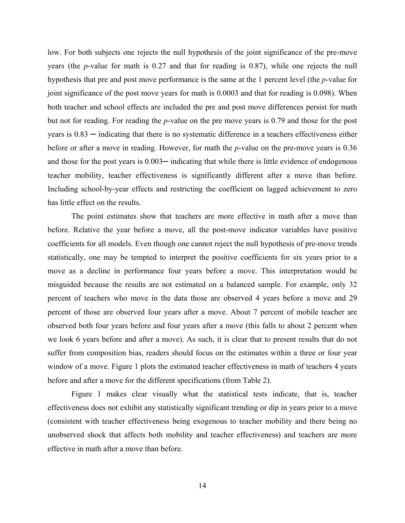low. For both subjects one rejects the null hypothesis of the joint significance of the pre-move years (the *p*-value for math is 0.27 and that for reading is 0.87), while one rejects the null hypothesis that pre and post move performance is the same at the 1 percent level (the *p*-value for joint significance of the post move years for math is 0.0003 and that for reading is 0.098). When both teacher and school effects are included the pre and post move differences persist for math but not for reading. For reading the *p*-value on the pre move years is 0.79 and those for the post years is  $0.83$  — indicating that there is no systematic difference in a teachers effectiveness either before or after a move in reading. However, for math the *p*-value on the pre-move years is 0.36 and those for the post years is  $0.003$ — indicating that while there is little evidence of endogenous teacher mobility, teacher effectiveness is significantly different after a move than before. Including school-by-year effects and restricting the coefficient on lagged achievement to zero has little effect on the results.

 The point estimates show that teachers are more effective in math after a move than before. Relative the year before a move, all the post-move indicator variables have positive coefficients for all models. Even though one cannot reject the null hypothesis of pre-move trends statistically, one may be tempted to interpret the positive coefficients for six years prior to a move as a decline in performance four years before a move. This interpretation would be misguided because the results are not estimated on a balanced sample. For example, only 32 percent of teachers who move in the data those are observed 4 years before a move and 29 percent of those are observed four years after a move. About 7 percent of mobile teacher are observed both four years before and four years after a move (this falls to about 2 percent when we look 6 years before and after a move). As such, it is clear that to present results that do not suffer from composition bias, readers should focus on the estimates within a three or four year window of a move. Figure 1 plots the estimated teacher effectiveness in math of teachers 4 years before and after a move for the different specifications (from Table 2).

 Figure 1 makes clear visually what the statistical tests indicate, that is, teacher effectiveness does not exhibit any statistically significant trending or dip in years prior to a move (consistent with teacher effectiveness being exogenous to teacher mobility and there being no unobserved shock that affects both mobility and teacher effectiveness) and teachers are more effective in math after a move than before.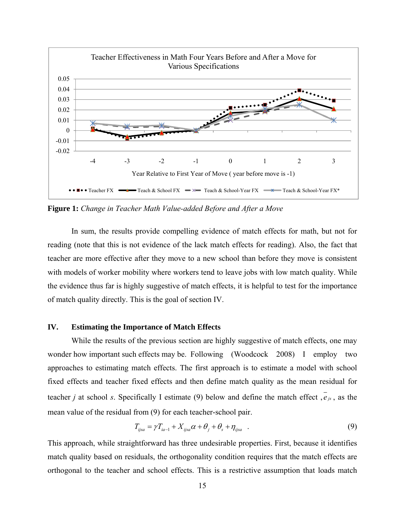

**Figure 1:** *Change in Teacher Math Value-added Before and After a Move*

 In sum, the results provide compelling evidence of match effects for math, but not for reading (note that this is not evidence of the lack match effects for reading). Also, the fact that teacher are more effective after they move to a new school than before they move is consistent with models of worker mobility where workers tend to leave jobs with low match quality. While the evidence thus far is highly suggestive of match effects, it is helpful to test for the importance of match quality directly. This is the goal of section IV.

## **IV. Estimating the Importance of Match Effects**

While the results of the previous section are highly suggestive of match effects, one may wonder how important such effects may be. Following (Woodcock 2008) I employ two approaches to estimating match effects. The first approach is to estimate a model with school fixed effects and teacher fixed effects and then define match quality as the mean residual for teacher *j* at school *s*. Specifically I estimate (9) below and define the match effect  $\overline{e}_{is}$ , as the mean value of the residual from (9) for each teacher-school pair.

$$
T_{ijsa} = \gamma T_{ia-1} + X_{ijsa} \alpha + \theta_j + \theta_s + \eta_{ijsa} \quad . \tag{9}
$$

This approach, while straightforward has three undesirable properties. First, because it identifies match quality based on residuals, the orthogonality condition requires that the match effects are orthogonal to the teacher and school effects. This is a restrictive assumption that loads match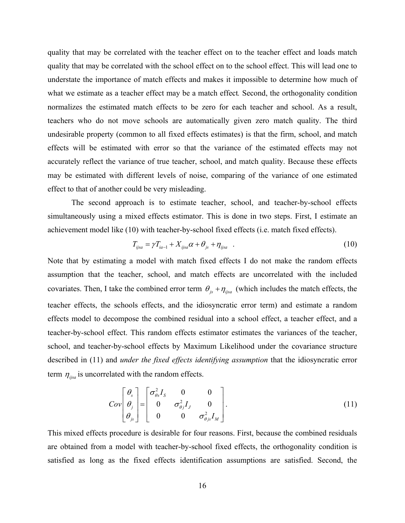quality that may be correlated with the teacher effect on to the teacher effect and loads match quality that may be correlated with the school effect on to the school effect. This will lead one to understate the importance of match effects and makes it impossible to determine how much of what we estimate as a teacher effect may be a match effect*.* Second, the orthogonality condition normalizes the estimated match effects to be zero for each teacher and school. As a result, teachers who do not move schools are automatically given zero match quality. The third undesirable property (common to all fixed effects estimates) is that the firm, school, and match effects will be estimated with error so that the variance of the estimated effects may not accurately reflect the variance of true teacher, school, and match quality. Because these effects may be estimated with different levels of noise, comparing of the variance of one estimated effect to that of another could be very misleading.

 The second approach is to estimate teacher, school, and teacher-by-school effects simultaneously using a mixed effects estimator. This is done in two steps. First, I estimate an achievement model like (10) with teacher-by-school fixed effects (i.e. match fixed effects).

$$
T_{ijsa} = \gamma T_{ia-1} + X_{ijsa} \alpha + \theta_{js} + \eta_{ijsa} \quad . \tag{10}
$$

Note that by estimating a model with match fixed effects I do not make the random effects assumption that the teacher, school, and match effects are uncorrelated with the included covariates. Then, I take the combined error term  $\theta_{is} + \eta_{ijsa}$  (which includes the match effects, the teacher effects, the schools effects, and the idiosyncratic error term) and estimate a random effects model to decompose the combined residual into a school effect, a teacher effect, and a teacher-by-school effect. This random effects estimator estimates the variances of the teacher, school, and teacher-by-school effects by Maximum Likelihood under the covariance structure described in (11) and *under the fixed effects identifying assumption* that the idiosyncratic error term  $\eta_{ijsa}$  is uncorrelated with the random effects.

$$
Cov\left[\begin{array}{c} \theta_s \\ \theta_j \\ \theta_{js} \end{array}\right] = \left[\begin{array}{ccc} \sigma_{\theta s}^2 I_s & 0 & 0 \\ 0 & \sigma_{\theta j}^2 I_j & 0 \\ 0 & 0 & \sigma_{\theta j s}^2 I_M \end{array}\right].
$$
\n(11)

This mixed effects procedure is desirable for four reasons. First, because the combined residuals are obtained from a model with teacher-by-school fixed effects, the orthogonality condition is satisfied as long as the fixed effects identification assumptions are satisfied. Second, the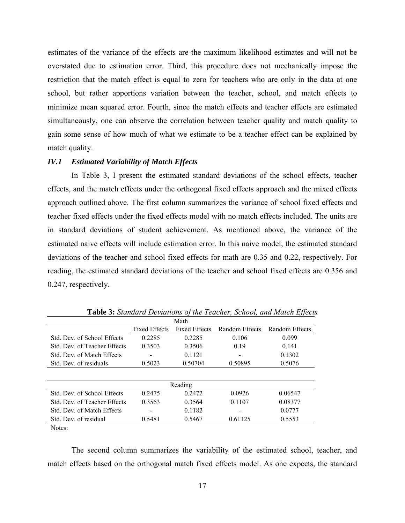estimates of the variance of the effects are the maximum likelihood estimates and will not be overstated due to estimation error. Third, this procedure does not mechanically impose the restriction that the match effect is equal to zero for teachers who are only in the data at one school, but rather apportions variation between the teacher, school, and match effects to minimize mean squared error. Fourth, since the match effects and teacher effects are estimated simultaneously, one can observe the correlation between teacher quality and match quality to gain some sense of how much of what we estimate to be a teacher effect can be explained by match quality.

#### *IV.1 Estimated Variability of Match Effects*

 In Table 3, I present the estimated standard deviations of the school effects, teacher effects, and the match effects under the orthogonal fixed effects approach and the mixed effects approach outlined above. The first column summarizes the variance of school fixed effects and teacher fixed effects under the fixed effects model with no match effects included. The units are in standard deviations of student achievement. As mentioned above, the variance of the estimated naive effects will include estimation error. In this naive model, the estimated standard deviations of the teacher and school fixed effects for math are 0.35 and 0.22, respectively. For reading, the estimated standard deviations of the teacher and school fixed effects are 0.356 and 0.247, respectively.

|                                     | Math                 |                      |                |                |  |  |  |  |  |  |  |
|-------------------------------------|----------------------|----------------------|----------------|----------------|--|--|--|--|--|--|--|
|                                     | <b>Fixed Effects</b> | <b>Fixed Effects</b> | Random Effects | Random Effects |  |  |  |  |  |  |  |
| Std Dev of School Effects           | 0.2285               | 0.2285               | 0.106          | 0.099          |  |  |  |  |  |  |  |
| <b>Std. Dev. of Teacher Effects</b> | 0.3503               | 0.3506               | 0.19           | 0.141          |  |  |  |  |  |  |  |
| <b>Std</b> Dev of Match Effects     |                      | 0.1121               |                | 0.1302         |  |  |  |  |  |  |  |
| Std. Dev. of residuals              | 0.5023               | 0.50704              | 0.50895        | 0.5076         |  |  |  |  |  |  |  |
|                                     |                      |                      |                |                |  |  |  |  |  |  |  |
|                                     |                      | Reading              |                |                |  |  |  |  |  |  |  |
| Std. Dev. of School Effects         | 0.2475               | 0.2472               | 0.0926         | 0.06547        |  |  |  |  |  |  |  |
| Std. Dev. of Teacher Effects        | 0.3563               | 0.3564               | 0.1107         | 0.08377        |  |  |  |  |  |  |  |
| <b>Std. Dev. of Match Effects</b>   |                      | 0.1182               |                | 0.0777         |  |  |  |  |  |  |  |
| Std. Dev. of residual               | 0.5481               | 0.5467               | 0.61125        | 0.5553         |  |  |  |  |  |  |  |

**Table 3:** *Standard Deviations of the Teacher, School, and Match Effects*

Notes:

 The second column summarizes the variability of the estimated school, teacher, and match effects based on the orthogonal match fixed effects model. As one expects, the standard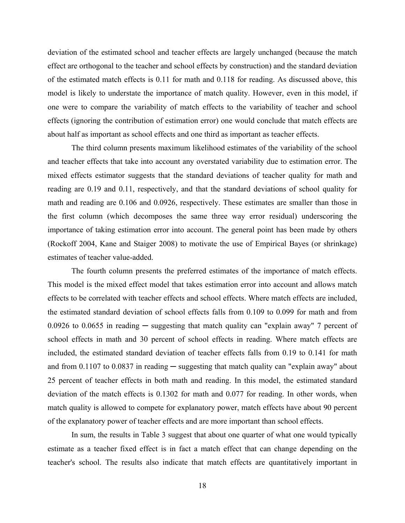deviation of the estimated school and teacher effects are largely unchanged (because the match effect are orthogonal to the teacher and school effects by construction) and the standard deviation of the estimated match effects is 0.11 for math and 0.118 for reading. As discussed above, this model is likely to understate the importance of match quality. However, even in this model, if one were to compare the variability of match effects to the variability of teacher and school effects (ignoring the contribution of estimation error) one would conclude that match effects are about half as important as school effects and one third as important as teacher effects.

 The third column presents maximum likelihood estimates of the variability of the school and teacher effects that take into account any overstated variability due to estimation error. The mixed effects estimator suggests that the standard deviations of teacher quality for math and reading are 0.19 and 0.11, respectively, and that the standard deviations of school quality for math and reading are 0.106 and 0.0926, respectively. These estimates are smaller than those in the first column (which decomposes the same three way error residual) underscoring the importance of taking estimation error into account. The general point has been made by others (Rockoff 2004, Kane and Staiger 2008) to motivate the use of Empirical Bayes (or shrinkage) estimates of teacher value-added.

 The fourth column presents the preferred estimates of the importance of match effects. This model is the mixed effect model that takes estimation error into account and allows match effects to be correlated with teacher effects and school effects. Where match effects are included, the estimated standard deviation of school effects falls from 0.109 to 0.099 for math and from 0.0926 to 0.0655 in reading  $-$  suggesting that match quality can "explain away" 7 percent of school effects in math and 30 percent of school effects in reading. Where match effects are included, the estimated standard deviation of teacher effects falls from 0.19 to 0.141 for math and from  $0.1107$  to  $0.0837$  in reading  $-$  suggesting that match quality can "explain away" about 25 percent of teacher effects in both math and reading. In this model, the estimated standard deviation of the match effects is 0.1302 for math and 0.077 for reading. In other words, when match quality is allowed to compete for explanatory power, match effects have about 90 percent of the explanatory power of teacher effects and are more important than school effects.

 In sum, the results in Table 3 suggest that about one quarter of what one would typically estimate as a teacher fixed effect is in fact a match effect that can change depending on the teacher's school. The results also indicate that match effects are quantitatively important in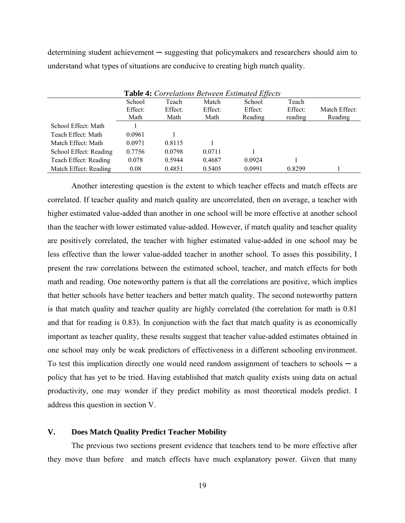determining student achievement ─ suggesting that policymakers and researchers should aim to understand what types of situations are conducive to creating high match quality.

| Table 4: Correlations Between Estimated Effects |         |         |         |         |         |               |  |  |  |  |
|-------------------------------------------------|---------|---------|---------|---------|---------|---------------|--|--|--|--|
|                                                 | School  | Teach   | Match   | School  | Teach   |               |  |  |  |  |
|                                                 | Effect: | Effect: | Effect: | Effect: | Effect: | Match Effect: |  |  |  |  |
|                                                 | Math    | Math    | Math    | Reading | reading | Reading       |  |  |  |  |
| School Effect: Math                             |         |         |         |         |         |               |  |  |  |  |
| Teach Effect: Math                              | 0.0961  |         |         |         |         |               |  |  |  |  |
| Match Effect: Math                              | 0.0971  | 0.8115  |         |         |         |               |  |  |  |  |
| School Effect: Reading                          | 0.7756  | 0.0798  | 0.0711  |         |         |               |  |  |  |  |
| Teach Effect: Reading                           | 0.078   | 0.5944  | 0.4687  | 0.0924  |         |               |  |  |  |  |
| Match Effect: Reading                           | 0.08    | 0.4851  | 0.5405  | 0.0991  | 0.8299  |               |  |  |  |  |

 Another interesting question is the extent to which teacher effects and match effects are correlated. If teacher quality and match quality are uncorrelated, then on average, a teacher with higher estimated value-added than another in one school will be more effective at another school than the teacher with lower estimated value-added. However, if match quality and teacher quality are positively correlated, the teacher with higher estimated value-added in one school may be less effective than the lower value-added teacher in another school. To asses this possibility, I present the raw correlations between the estimated school, teacher, and match effects for both math and reading. One noteworthy pattern is that all the correlations are positive, which implies that better schools have better teachers and better match quality. The second noteworthy pattern is that match quality and teacher quality are highly correlated (the correlation for math is 0.81 and that for reading is 0.83). In conjunction with the fact that match quality is as economically important as teacher quality, these results suggest that teacher value-added estimates obtained in one school may only be weak predictors of effectiveness in a different schooling environment. To test this implication directly one would need random assignment of teachers to schools  $-a$ policy that has yet to be tried. Having established that match quality exists using data on actual productivity, one may wonder if they predict mobility as most theoretical models predict. I address this question in section V.

## **V. Does Match Quality Predict Teacher Mobility**

 The previous two sections present evidence that teachers tend to be more effective after they move than before and match effects have much explanatory power. Given that many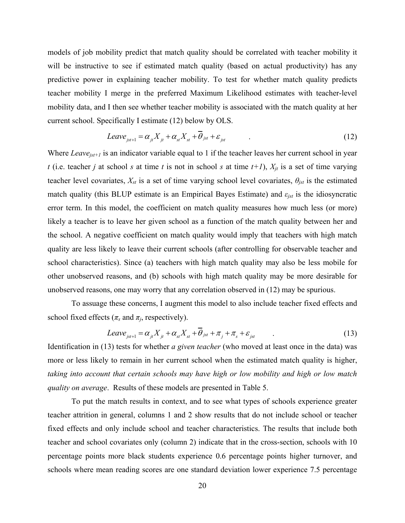models of job mobility predict that match quality should be correlated with teacher mobility it will be instructive to see if estimated match quality (based on actual productivity) has any predictive power in explaining teacher mobility. To test for whether match quality predicts teacher mobility I merge in the preferred Maximum Likelihood estimates with teacher-level mobility data, and I then see whether teacher mobility is associated with the match quality at her current school. Specifically I estimate (12) below by OLS.

$$
Leave_{jst+1} = \alpha_{jt} X_{jt} + \alpha_{st} X_{st} + \theta_{jst} + \varepsilon_{jst}
$$
 (12)

Where *Leave<sub>ist+1</sub>* is an indicator variable equal to 1 if the teacher leaves her current school in year *t* (i.e. teacher *j* at school *s* at time *t* is not in school *s* at time  $t+1$ ),  $X_{it}$  is a set of time varying teacher level covariates,  $X_{st}$  is a set of time varying school level covariates,  $\theta_{jst}$  is the estimated match quality (this BLUP estimate is an Empirical Bayes Estimate) and *εjst* is the idiosyncratic error term. In this model, the coefficient on match quality measures how much less (or more) likely a teacher is to leave her given school as a function of the match quality between her and the school. A negative coefficient on match quality would imply that teachers with high match quality are less likely to leave their current schools (after controlling for observable teacher and school characteristics). Since (a) teachers with high match quality may also be less mobile for other unobserved reasons, and (b) schools with high match quality may be more desirable for unobserved reasons, one may worry that any correlation observed in (12) may be spurious.

 To assuage these concerns, I augment this model to also include teacher fixed effects and school fixed effects ( $\pi$ <sup>*s*</sup> and  $\pi$ <sup>*j*</sup>, respectively).

$$
Leave_{jst+1} = \alpha_{jt} X_{jt} + \alpha_{st} X_{st} + \theta_{jst} + \pi_j + \pi_s + \varepsilon_{jst}
$$
 (13)

Identification in (13) tests for whether *a given teacher* (who moved at least once in the data) was more or less likely to remain in her current school when the estimated match quality is higher, *taking into account that certain schools may have high or low mobility and high or low match quality on average*. Results of these models are presented in Table 5.

 To put the match results in context, and to see what types of schools experience greater teacher attrition in general, columns 1 and 2 show results that do not include school or teacher fixed effects and only include school and teacher characteristics. The results that include both teacher and school covariates only (column 2) indicate that in the cross-section, schools with 10 percentage points more black students experience 0.6 percentage points higher turnover, and schools where mean reading scores are one standard deviation lower experience 7.5 percentage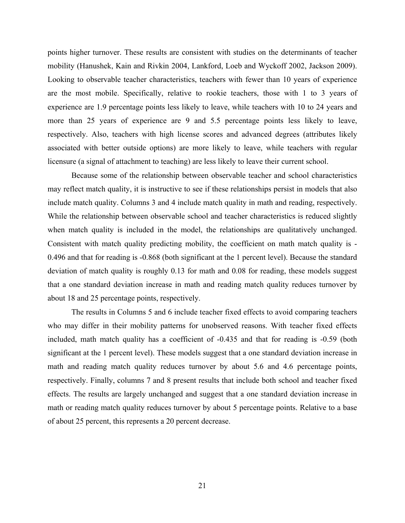points higher turnover. These results are consistent with studies on the determinants of teacher mobility (Hanushek, Kain and Rivkin 2004, Lankford, Loeb and Wyckoff 2002, Jackson 2009). Looking to observable teacher characteristics, teachers with fewer than 10 years of experience are the most mobile. Specifically, relative to rookie teachers, those with 1 to 3 years of experience are 1.9 percentage points less likely to leave, while teachers with 10 to 24 years and more than 25 years of experience are 9 and 5.5 percentage points less likely to leave, respectively. Also, teachers with high license scores and advanced degrees (attributes likely associated with better outside options) are more likely to leave, while teachers with regular licensure (a signal of attachment to teaching) are less likely to leave their current school.

 Because some of the relationship between observable teacher and school characteristics may reflect match quality, it is instructive to see if these relationships persist in models that also include match quality. Columns 3 and 4 include match quality in math and reading, respectively. While the relationship between observable school and teacher characteristics is reduced slightly when match quality is included in the model, the relationships are qualitatively unchanged. Consistent with match quality predicting mobility, the coefficient on math match quality is - 0.496 and that for reading is -0.868 (both significant at the 1 percent level). Because the standard deviation of match quality is roughly 0.13 for math and 0.08 for reading, these models suggest that a one standard deviation increase in math and reading match quality reduces turnover by about 18 and 25 percentage points, respectively.

 The results in Columns 5 and 6 include teacher fixed effects to avoid comparing teachers who may differ in their mobility patterns for unobserved reasons. With teacher fixed effects included, math match quality has a coefficient of -0.435 and that for reading is -0.59 (both significant at the 1 percent level). These models suggest that a one standard deviation increase in math and reading match quality reduces turnover by about 5.6 and 4.6 percentage points, respectively. Finally, columns 7 and 8 present results that include both school and teacher fixed effects. The results are largely unchanged and suggest that a one standard deviation increase in math or reading match quality reduces turnover by about 5 percentage points. Relative to a base of about 25 percent, this represents a 20 percent decrease.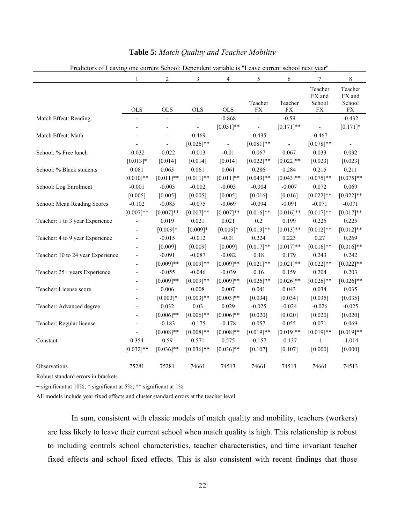| Trancions of Leaving              |                          |                |              |              | one carrent School. Dependent variable is "Leave carrent school heat" |                       |                                           |                                           |
|-----------------------------------|--------------------------|----------------|--------------|--------------|-----------------------------------------------------------------------|-----------------------|-------------------------------------------|-------------------------------------------|
|                                   | 1                        | 2              | 3            | 4            | 5                                                                     | 6                     | 7                                         | 8                                         |
|                                   | <b>OLS</b>               | <b>OLS</b>     | <b>OLS</b>   | <b>OLS</b>   | Teacher<br><b>FX</b>                                                  | Teacher<br>${\rm FX}$ | Teacher<br>FX and<br>School<br>${\rm FX}$ | Teacher<br>FX and<br>School<br>${\rm FX}$ |
| Match Effect: Reading             | ÷,                       | $\overline{a}$ |              | $-0.868$     |                                                                       | $-0.59$               |                                           | $-0.432$                                  |
|                                   | $\overline{a}$           |                |              | $[0.051]$ ** |                                                                       | $[0.171]$ **          |                                           | $[0.171]$ *                               |
| Match Effect: Math                |                          |                | $-0.469$     |              | $-0.435$                                                              |                       | $-0.467$                                  |                                           |
|                                   |                          |                | $[0.026]$ ** |              | $[0.081]$ **                                                          | $\overline{a}$        | $[0.078]**$                               | $\overline{\phantom{a}}$                  |
| School: % Free lunch              | $-0.032$                 | $-0.022$       | $-0.013$     | $-0.01$      | 0.067                                                                 | 0.067                 | 0.033                                     | 0.032                                     |
|                                   | $[0.013]*$               | [0.014]        | [0.014]      | [0.014]      | $[0.022]$ **                                                          | $[0.022]$ **          | [0.023]                                   | [0.023]                                   |
| School: % Black students          | 0.081                    | 0.063          | 0.061        | 0.061        | 0.286                                                                 | 0.284                 | 0.215                                     | 0.211                                     |
|                                   | $[0.010]**$              | $[0.011]$ **   | $[0.011]$ ** | $[0.011]$ ** | $[0.043]$ **                                                          | $[0.043]$ **          | $[0.075]**$                               | $[0.075]**$                               |
| School: Log Enrolment             | $-0.001$                 | $-0.003$       | $-0.002$     | $-0.003$     | $-0.004$                                                              | $-0.007$              | 0.072                                     | 0.069                                     |
|                                   | [0.005]                  | [0.005]        | [0.005]      | [0.005]      | [0.016]                                                               | [0.016]               | $[0.022]$ **                              | $[0.022]$ **                              |
| School: Mean Reading Scores       | $-0.102$                 | $-0.085$       | $-0.075$     | $-0.069$     | $-0.094$                                                              | $-0.091$              | $-0.071$                                  | $-0.071$                                  |
|                                   | $[0.007]**$              | $[0.007]**$    | $[0.007]**$  | $[0.007]**$  | $[0.016]$ **                                                          | $[0.016]$ **          | $[0.017]**$                               | $[0.017]**$                               |
| Teacher: 1 to 3 year Experience   |                          | 0.019          | 0.021        | 0.021        | 0.2                                                                   | 0.199                 | 0.225                                     | 0.225                                     |
|                                   |                          | $[0.009]*$     | $[0.009]*$   | $[0.009]*$   | $[0.013]**$                                                           | $[0.013]**$           | $[0.012]**$                               | $[0.012]**$                               |
| Teacher: 4 to 9 year Experience   |                          | $-0.015$       | $-0.012$     | $-0.01$      | 0.224                                                                 | 0.223                 | 0.27                                      | 0.269                                     |
|                                   | $\overline{\phantom{0}}$ | [0.009]        | [0.009]      | [0.009]      | $[0.017]**$                                                           | $[0.017]**$           | $[0.016]$ **                              | $[0.016]$ **                              |
| Teacher: 10 to 24 year Experience |                          | $-0.091$       | $-0.087$     | $-0.082$     | 0.18                                                                  | 0.179                 | 0.243                                     | 0.242                                     |
|                                   | $\overline{a}$           | $[0.009]**$    | $[0.009]**$  | $[0.009]**$  | $[0.021]$ **                                                          | $[0.021]$ **          | $[0.022]**$                               | $[0.022]**$                               |
| Teacher: 25+ years Experience     | $\overline{\phantom{a}}$ | $-0.055$       | $-0.046$     | $-0.039$     | 0.16                                                                  | 0.159                 | 0.204                                     | 0.203                                     |
|                                   | $\overline{\phantom{a}}$ | $[0.009]**$    | $[0.009]**$  | $[0.009]**$  | $[0.026]$ **                                                          | $[0.026]$ **          | $[0.026]$ **                              | $[0.026]$ **                              |
| Teacher: License score            | $\overline{a}$           | 0.006          | 0.008        | 0.007        | 0.041                                                                 | 0.043                 | 0.034                                     | 0.035                                     |
|                                   | $\overline{\phantom{a}}$ | $[0.003]*$     | $[0.003]**$  | $[0.003]**$  | [0.034]                                                               | [0.034]               | [0.035]                                   | [0.035]                                   |
| Teacher: Advanced degree          |                          | 0.032          | 0.03         | 0.029        | $-0.025$                                                              | $-0.024$              | $-0.026$                                  | $-0.025$                                  |
|                                   |                          | $[0.006]$ **   | $[0.006]$ ** | $[0.006]$ ** | [0.020]                                                               | [0.020]               | [0.020]                                   | [0.020]                                   |
| Teacher: Regular license          |                          | $-0.183$       | $-0.175$     | $-0.178$     | 0.057                                                                 | 0.055                 | 0.071                                     | 0.069                                     |
|                                   |                          | $[0.008]**$    | $[0.008]**$  | $[0.008]**$  | $[0.019]**$                                                           | $[0.019]**$           | $[0.019]**$                               | $[0.019]**$                               |
| Constant                          | 0.354                    | 0.59           | 0.571        | 0.575        | $-0.157$                                                              | $-0.137$              | $-1$                                      | $-1.014$                                  |
|                                   | $[0.032]$ **             | $[0.036]$ **   | $[0.036]$ ** | $[0.036]$ ** | [0.107]                                                               | [0.107]               | [0.000]                                   | [0.000]                                   |
|                                   |                          |                |              |              |                                                                       |                       |                                           |                                           |
| Observations                      | 75281                    | 75281          | 74661        | 74513        | 74661                                                                 | 74513                 | 74661                                     | 74513                                     |

#### **Table 5:** *Match Quality and Teacher Mobility*

Predictors of Leaving one current School: Dependent variable is "Leave current school next year"

Robust standard errors in brackets

+ significant at 10%; \* significant at 5%; \*\* significant at 1%

All models include year fixed effects and cluster standard errors at the teacher level.

 In sum, consistent with classic models of match quality and mobility, teachers (workers) are less likely to leave their current school when match quality is high. This relationship is robust to including controls school characteristics, teacher characteristics, and time invariant teacher fixed effects and school fixed effects. This is also consistent with recent findings that those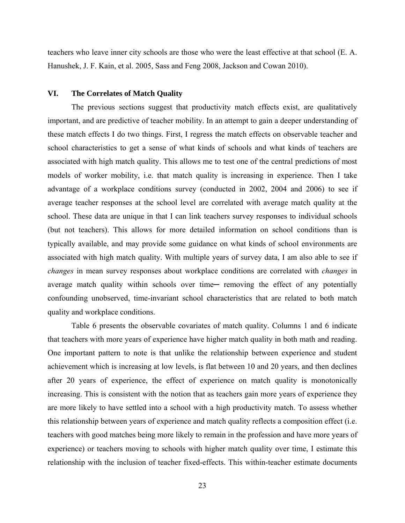teachers who leave inner city schools are those who were the least effective at that school (E. A. Hanushek, J. F. Kain, et al. 2005, Sass and Feng 2008, Jackson and Cowan 2010).

#### **VI. The Correlates of Match Quality**

 The previous sections suggest that productivity match effects exist, are qualitatively important, and are predictive of teacher mobility. In an attempt to gain a deeper understanding of these match effects I do two things. First, I regress the match effects on observable teacher and school characteristics to get a sense of what kinds of schools and what kinds of teachers are associated with high match quality. This allows me to test one of the central predictions of most models of worker mobility, i.e. that match quality is increasing in experience. Then I take advantage of a workplace conditions survey (conducted in 2002, 2004 and 2006) to see if average teacher responses at the school level are correlated with average match quality at the school. These data are unique in that I can link teachers survey responses to individual schools (but not teachers). This allows for more detailed information on school conditions than is typically available, and may provide some guidance on what kinds of school environments are associated with high match quality. With multiple years of survey data, I am also able to see if *changes* in mean survey responses about workplace conditions are correlated with *changes* in average match quality within schools over time— removing the effect of any potentially confounding unobserved, time-invariant school characteristics that are related to both match quality and workplace conditions.

 Table 6 presents the observable covariates of match quality. Columns 1 and 6 indicate that teachers with more years of experience have higher match quality in both math and reading. One important pattern to note is that unlike the relationship between experience and student achievement which is increasing at low levels, is flat between 10 and 20 years, and then declines after 20 years of experience, the effect of experience on match quality is monotonically increasing. This is consistent with the notion that as teachers gain more years of experience they are more likely to have settled into a school with a high productivity match. To assess whether this relationship between years of experience and match quality reflects a composition effect (i.e. teachers with good matches being more likely to remain in the profession and have more years of experience) or teachers moving to schools with higher match quality over time, I estimate this relationship with the inclusion of teacher fixed-effects. This within-teacher estimate documents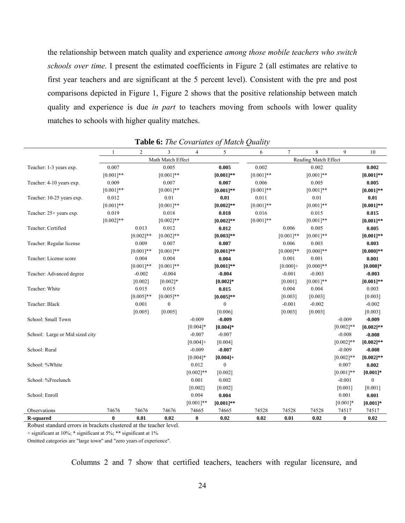the relationship between match quality and experience *among those mobile teachers who switch schools over time*. I present the estimated coefficients in Figure 2 (all estimates are relative to first year teachers and are significant at the 5 percent level). Consistent with the pre and post comparisons depicted in Figure 1, Figure 2 shows that the positive relationship between match quality and experience is due *in part* to teachers moving from schools with lower quality matches to schools with higher quality matches.

|                                 |                   |                |                  |                |                  | ✔                    |             |             |             |              |
|---------------------------------|-------------------|----------------|------------------|----------------|------------------|----------------------|-------------|-------------|-------------|--------------|
|                                 |                   | $\overline{c}$ | 3                | $\overline{4}$ | 5                | 6                    | 7           | 8           | 9           | 10           |
|                                 | Math Match Effect |                |                  |                |                  | Reading Match Effect |             |             |             |              |
| Teacher: 1-3 years exp.         | 0.007             |                | 0.005            |                | 0.005            | 0.002                |             | 0.002       |             | 0.002        |
|                                 | $[0.001]**$       |                | $[0.001]**$      |                | $[0.001]$ **     | $[0.001]**$          |             | $[0.001]**$ |             | $[0.001]**$  |
| Teacher: 4-10 years exp.        | 0.009             |                | 0.007            |                | 0.007            | 0.006                |             | 0.005       |             | 0.005        |
|                                 | $[0.001]**$       |                | $[0.001]**$      |                | $[0.001]$ **     | $[0.001]**$          |             | $[0.001]**$ |             | $[0.001]$ ** |
| Teacher: 10-25 years exp.       | 0.012             |                | 0.01             |                | $0.01\,$         | 0.011                |             | 0.01        |             | 0.01         |
|                                 | $[0.001]**$       |                | $[0.001]**$      |                | $[0.002]$ **     | $[0.001]**$          |             | $[0.001]**$ |             | $[0.001]**$  |
| Teacher: 25+ years exp.         | 0.019             |                | 0.018            |                | 0.018            | 0.016                |             | 0.015       |             | 0.015        |
|                                 | $[0.002]**$       |                | $[0.002]$ **     |                | $[0.002]$ **     | $[0.001]**$          |             | $[0.001]**$ |             | $[0.001]$ ** |
| Teacher: Certified              |                   | 0.013          | 0.012            |                | 0.012            |                      | 0.006       | 0.005       |             | 0.005        |
|                                 |                   | $[0.002]**$    | $[0.002]**$      |                | $[0.003]**$      |                      | $[0.001]**$ | $[0.001]**$ |             | $[0.001]$ ** |
| Teacher: Regular license        |                   | 0.009          | 0.007            |                | 0.007            |                      | 0.006       | 0.003       |             | 0.003        |
|                                 |                   | $[0.001]**$    | $[0.001]**$      |                | $[0.001]$ **     |                      | $[0.000]**$ | $[0.000]**$ |             | $[0.000]$ ** |
| Teacher: License score          |                   | 0.004          | 0.004            |                | 0.004            |                      | 0.001       | 0.001       |             | 0.001        |
|                                 |                   | $[0.001]**$    | $[0.001]**$      |                | $[0.001]$ **     |                      | $[0.000]$ + | $[0.000]**$ |             | $[0.000]$ *  |
| Teacher: Advanced degree        |                   | $-0.002$       | $-0.004$         |                | $-0.004$         |                      | $-0.001$    | $-0.003$    |             | $-0.003$     |
|                                 |                   | [0.002]        | $[0.002]*$       |                | $[0.002]$ *      |                      | [0.001]     | $[0.001]**$ |             | $[0.001]**$  |
| Teacher: White                  |                   | 0.015          | 0.015            |                | 0.015            |                      | 0.004       | 0.004       |             | 0.003        |
|                                 |                   | $[0.005]**$    | $[0.005]**$      |                | $[0.005]**$      |                      | [0.003]     | [0.003]     |             | [0.003]      |
| Teacher: Black                  |                   | 0.001          | $\boldsymbol{0}$ |                | $\boldsymbol{0}$ |                      | $-0.001$    | $-0.002$    |             | $-0.002$     |
|                                 |                   | [0.005]        | [0.005]          |                | [0.006]          |                      | [0.003]     | [0.003]     |             | [0.003]      |
| School: Small Town              |                   |                |                  | $-0.009$       | $-0.009$         |                      |             |             | $-0.009$    | $-0.009$     |
|                                 |                   |                |                  | $[0.004]*$     | $[0.004]*$       |                      |             |             | $[0.002]**$ | $[0.002]$ ** |
| School: Large or Mid sized city |                   |                |                  | $-0.007$       | $-0.007$         |                      |             |             | $-0.008$    | $-0.008$     |
|                                 |                   |                |                  | $[0.004]+$     | [0.004]          |                      |             |             | $[0.002]**$ | $[0.002]$ ** |
| School: Rural                   |                   |                |                  | $-0.009$       | $-0.007$         |                      |             |             | $-0.009$    | $-0.008$     |
|                                 |                   |                |                  | $[0.004]*$     | $[0.004] +$      |                      |             |             | $[0.002]**$ | $[0.002]$ ** |
| School: %White                  |                   |                |                  | 0.012          | $\boldsymbol{0}$ |                      |             |             | 0.007       | 0.002        |
|                                 |                   |                |                  | $[0.002]**$    | [0.002]          |                      |             |             | $[0.001]**$ | $[0.001]*$   |
| School: %Freelunch              |                   |                |                  | 0.001          | 0.002            |                      |             |             | $-0.001$    | $\mathbf{0}$ |
|                                 |                   |                |                  | [0.002]        | [0.002]          |                      |             |             | [0.001]     | [0.001]      |
| School: Enroll                  |                   |                |                  | 0.004          | 0.004            |                      |             |             | 0.001       | 0.001        |
|                                 |                   |                |                  | $[0.001]**$    | $[0.001]$ **     |                      |             |             | $[0.001]*$  | $[0.001]*$   |
| Observations                    | 74676             | 74676          | 74676            | 74665          | 74665            | 74528                | 74528       | 74528       | 74517       | 74517        |
| <b>R-squared</b>                | $\bf{0}$          | 0.01           | 0.02             | $\bf{0}$       | 0.02             | 0.02                 | 0.01        | 0.02        | $\bf{0}$    | 0.02         |

**Table 6:** *The Covariates of Match Quality* 

Robust standard errors in brackets clustered at the teacher level.

+ significant at 10%; \* significant at 5%; \*\* significant at 1%

Omitted categories are "large town" and "zero years of experience".

Columns 2 and 7 show that certified teachers, teachers with regular licensure, and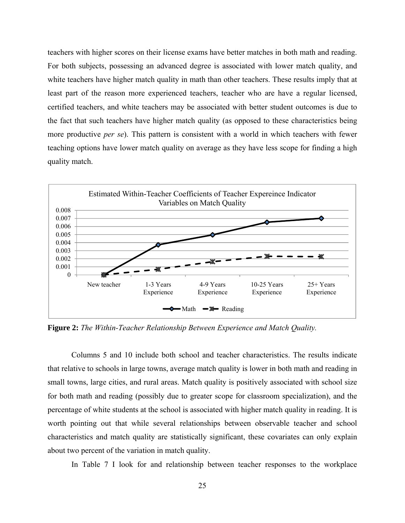teachers with higher scores on their license exams have better matches in both math and reading. For both subjects, possessing an advanced degree is associated with lower match quality, and white teachers have higher match quality in math than other teachers. These results imply that at least part of the reason more experienced teachers, teacher who are have a regular licensed, certified teachers, and white teachers may be associated with better student outcomes is due to the fact that such teachers have higher match quality (as opposed to these characteristics being more productive *per se*). This pattern is consistent with a world in which teachers with fewer teaching options have lower match quality on average as they have less scope for finding a high quality match.



**Figure 2:** *The Within-Teacher Relationship Between Experience and Match Quality.* 

 Columns 5 and 10 include both school and teacher characteristics. The results indicate that relative to schools in large towns, average match quality is lower in both math and reading in small towns, large cities, and rural areas. Match quality is positively associated with school size for both math and reading (possibly due to greater scope for classroom specialization), and the percentage of white students at the school is associated with higher match quality in reading. It is worth pointing out that while several relationships between observable teacher and school characteristics and match quality are statistically significant, these covariates can only explain about two percent of the variation in match quality.

In Table 7 I look for and relationship between teacher responses to the workplace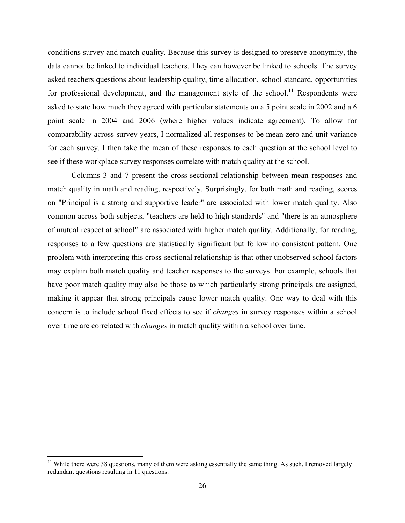conditions survey and match quality. Because this survey is designed to preserve anonymity, the data cannot be linked to individual teachers. They can however be linked to schools. The survey asked teachers questions about leadership quality, time allocation, school standard, opportunities for professional development, and the management style of the school.<sup>11</sup> Respondents were asked to state how much they agreed with particular statements on a 5 point scale in 2002 and a 6 point scale in 2004 and 2006 (where higher values indicate agreement). To allow for comparability across survey years, I normalized all responses to be mean zero and unit variance for each survey. I then take the mean of these responses to each question at the school level to see if these workplace survey responses correlate with match quality at the school.

 Columns 3 and 7 present the cross-sectional relationship between mean responses and match quality in math and reading, respectively. Surprisingly, for both math and reading, scores on "Principal is a strong and supportive leader" are associated with lower match quality. Also common across both subjects, "teachers are held to high standards" and "there is an atmosphere of mutual respect at school" are associated with higher match quality. Additionally, for reading, responses to a few questions are statistically significant but follow no consistent pattern. One problem with interpreting this cross-sectional relationship is that other unobserved school factors may explain both match quality and teacher responses to the surveys. For example, schools that have poor match quality may also be those to which particularly strong principals are assigned, making it appear that strong principals cause lower match quality. One way to deal with this concern is to include school fixed effects to see if *changes* in survey responses within a school over time are correlated with *changes* in match quality within a school over time.

 $\overline{a}$ 

 $11$  While there were 38 questions, many of them were asking essentially the same thing. As such, I removed largely redundant questions resulting in 11 questions.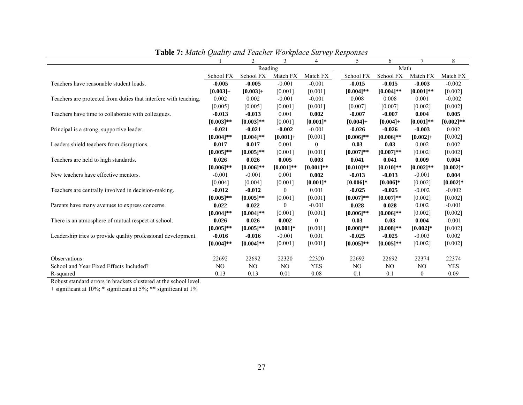|                                                                  |                | 2            | 3               | $\overline{4}$ | 5              | 6              |                  | 8            |  |
|------------------------------------------------------------------|----------------|--------------|-----------------|----------------|----------------|----------------|------------------|--------------|--|
|                                                                  |                | Reading      |                 |                | Math           |                |                  |              |  |
|                                                                  | School FX      | School FX    | Match FX        | Match FX       | School FX      | School FX      | Match FX         | Match FX     |  |
| Teachers have reasonable student loads.                          | $-0.005$       | $-0.005$     | $-0.001$        | $-0.001$       | $-0.015$       | $-0.015$       | $-0.003$         | $-0.002$     |  |
|                                                                  | $[0.003]+$     | $[0.003] +$  | [0.001]         | [0.001]        | $[0.004]$ **   | $[0.004]$ **   | $[0.001]**$      | [0.002]      |  |
| Teachers are protected from duties that interfere with teaching. | 0.002          | 0.002        | $-0.001$        | $-0.001$       | 0.008          | 0.008          | 0.001            | $-0.002$     |  |
|                                                                  | [0.005]        | [0.005]      | [0.001]         | [0.001]        | [0.007]        | [0.007]        | [0.002]          | [0.002]      |  |
| Teachers have time to collaborate with colleagues.               | $-0.013$       | $-0.013$     | 0.001           | 0.002          | $-0.007$       | $-0.007$       | 0.004            | 0.005        |  |
|                                                                  | $[0.003]$ **   | $[0.003]**$  | [0.001]         | $[0.001]*$     | $[0.004] +$    | $[0.004] +$    | $[0.001]$ **     | $[0.002]$ ** |  |
| Principal is a strong, supportive leader.                        | $-0.021$       | $-0.021$     | $-0.002$        | $-0.001$       | $-0.026$       | $-0.026$       | $-0.003$         | 0.002        |  |
|                                                                  | $[0.004]$ **   | $[0.004]$ ** | $[0.001] +$     | [0.001]        | $[0.006]$ **   | $[0.006]$ **   | $[0.002] +$      | [0.002]      |  |
| Leaders shield teachers from disruptions.                        | 0.017          | 0.017        | 0.001           | 0              | 0.03           | 0.03           | 0.002            | 0.002        |  |
|                                                                  | $[0.005]$ **   | $[0.005]$ ** | [0.001]         | [0.001]        | $[0.007]**$    | $[0.007]$ **   | [0.002]          | [0.002]      |  |
| Teachers are held to high standards.                             | 0.026          | 0.026        | 0.005           | 0.003          | 0.041          | 0.041          | 0.009            | 0.004        |  |
|                                                                  | $[0.006]$ **   | $[0.006]$ ** | $[0.001]$ **    | $[0.001]$ **   | $[0.010]$ **   | $[0.010]$ **   | $[0.002]$ **     | $[0.002]$ *  |  |
| New teachers have effective mentors.                             | $-0.001$       | $-0.001$     | 0.001           | 0.002          | $-0.013$       | $-0.013$       | $-0.001$         | 0.004        |  |
|                                                                  | [0.004]        | [0.004]      | [0.001]         | $[0.001]*$     | $[0.006]$ *    | $[0.006]$ *    | [0.002]          | $[0.002]$ *  |  |
| Teachers are centrally involved in decision-making.              | $-0.012$       | $-0.012$     | $\theta$        | 0.001          | $-0.025$       | $-0.025$       | $-0.002$         | $-0.002$     |  |
|                                                                  | $[0.005]$ **   | $[0.005]$ ** | [0.001]         | [0.001]        | $[0.007]**$    | $[0.007]$ **   | [0.002]          | [0.002]      |  |
| Parents have many avenues to express concerns.                   | 0.022          | 0.022        | $\theta$        | $-0.001$       | 0.028          | 0.028          | 0.002            | $-0.001$     |  |
|                                                                  | $[0.004]$ **   | $[0.004]$ ** | [0.001]         | [0.001]        | $[0.006]$ **   | $[0.006]$ **   | [0.002]          | [0.002]      |  |
| There is an atmosphere of mutual respect at school.              | 0.026          | 0.026        | 0.002           | $\theta$       | 0.03           | 0.03           | 0.004            | $-0.001$     |  |
|                                                                  | $[0.005]$ **   | $[0.005]$ ** | $[0.001]*$      | [0.001]        | $[0.008]**$    | $[0.008]$ **   | $[0.002]$ *      | [0.002]      |  |
| Leadership tries to provide quality professional development.    | $-0.016$       | $-0.016$     | $-0.001$        | 0.001          | $-0.025$       | $-0.025$       | $-0.003$         | 0.002        |  |
|                                                                  | $[0.004]$ **   | $[0.004]$ ** | [0.001]         | [0.001]        | $[0.005]$ **   | $[0.005]$ **   | [0.002]          | [0.002]      |  |
|                                                                  |                |              |                 |                |                |                |                  |              |  |
| Observations                                                     | 22692          | 22692        | 22320           | 22320          | 22692          | 22692          | 22374            | 22374        |  |
| School and Year Fixed Effects Included?                          | N <sub>O</sub> | NO.          | NO <sub>1</sub> | <b>YES</b>     | N <sub>O</sub> | N <sub>O</sub> | N <sub>O</sub>   | <b>YES</b>   |  |
| R-squared                                                        | 0.13           | 0.13         | 0.01            | 0.08           | 0.1            | 0.1            | $\boldsymbol{0}$ | 0.09         |  |

**Table 7:** *Match Quality and Teacher Workplace Survey Responses* 

Robust standard errors in brackets clustered at the school level.

+ significant at 10%; \* significant at 5%; \*\* significant at 1%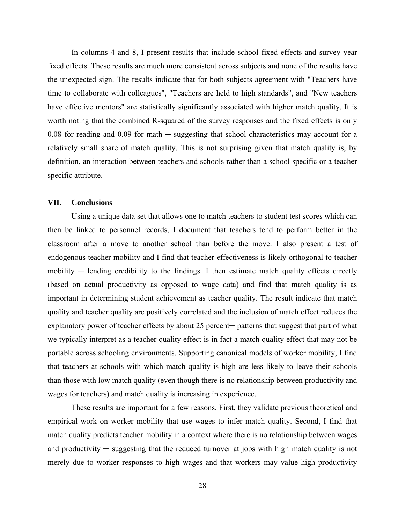In columns 4 and 8, I present results that include school fixed effects and survey year fixed effects. These results are much more consistent across subjects and none of the results have the unexpected sign. The results indicate that for both subjects agreement with "Teachers have time to collaborate with colleagues", "Teachers are held to high standards", and "New teachers have effective mentors" are statistically significantly associated with higher match quality. It is worth noting that the combined R-squared of the survey responses and the fixed effects is only 0.08 for reading and 0.09 for math  $-$  suggesting that school characteristics may account for a relatively small share of match quality. This is not surprising given that match quality is, by definition, an interaction between teachers and schools rather than a school specific or a teacher specific attribute.

#### **VII. Conclusions**

 Using a unique data set that allows one to match teachers to student test scores which can then be linked to personnel records, I document that teachers tend to perform better in the classroom after a move to another school than before the move. I also present a test of endogenous teacher mobility and I find that teacher effectiveness is likely orthogonal to teacher mobility  $-$  lending credibility to the findings. I then estimate match quality effects directly (based on actual productivity as opposed to wage data) and find that match quality is as important in determining student achievement as teacher quality. The result indicate that match quality and teacher quality are positively correlated and the inclusion of match effect reduces the explanatory power of teacher effects by about 25 percent— patterns that suggest that part of what we typically interpret as a teacher quality effect is in fact a match quality effect that may not be portable across schooling environments. Supporting canonical models of worker mobility, I find that teachers at schools with which match quality is high are less likely to leave their schools than those with low match quality (even though there is no relationship between productivity and wages for teachers) and match quality is increasing in experience.

 These results are important for a few reasons. First, they validate previous theoretical and empirical work on worker mobility that use wages to infer match quality. Second, I find that match quality predicts teacher mobility in a context where there is no relationship between wages and productivity  $-$  suggesting that the reduced turnover at jobs with high match quality is not merely due to worker responses to high wages and that workers may value high productivity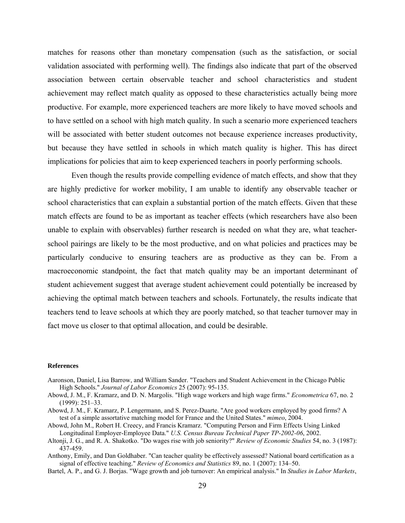matches for reasons other than monetary compensation (such as the satisfaction, or social validation associated with performing well). The findings also indicate that part of the observed association between certain observable teacher and school characteristics and student achievement may reflect match quality as opposed to these characteristics actually being more productive. For example, more experienced teachers are more likely to have moved schools and to have settled on a school with high match quality. In such a scenario more experienced teachers will be associated with better student outcomes not because experience increases productivity, but because they have settled in schools in which match quality is higher. This has direct implications for policies that aim to keep experienced teachers in poorly performing schools.

 Even though the results provide compelling evidence of match effects, and show that they are highly predictive for worker mobility, I am unable to identify any observable teacher or school characteristics that can explain a substantial portion of the match effects. Given that these match effects are found to be as important as teacher effects (which researchers have also been unable to explain with observables) further research is needed on what they are, what teacherschool pairings are likely to be the most productive, and on what policies and practices may be particularly conducive to ensuring teachers are as productive as they can be. From a macroeconomic standpoint, the fact that match quality may be an important determinant of student achievement suggest that average student achievement could potentially be increased by achieving the optimal match between teachers and schools. Fortunately, the results indicate that teachers tend to leave schools at which they are poorly matched, so that teacher turnover may in fact move us closer to that optimal allocation, and could be desirable.

#### **References**

- Aaronson, Daniel, Lisa Barrow, and William Sander. "Teachers and Student Achievement in the Chicago Public High Schools." *Journal of Labor Economics* 25 (2007): 95-135.
- Abowd, J. M., F. Kramarz, and D. N. Margolis. "High wage workers and high wage firms." *Econometrica* 67, no. 2 (1999): 251–33.
- Abowd, J. M., F. Kramarz, P. Lengermann, and S. Perez-Duarte. "Are good workers employed by good firms? A test of a simple assortative matching model for France and the United States." *mimeo*, 2004.
- Abowd, John M., Robert H. Creecy, and Francis Kramarz. "Computing Person and Firm Effects Using Linked Longitudinal Employer-Employee Data." *U.S. Census Bureau Technical Paper TP-2002-06*, 2002.
- Altonji, J. G., and R. A. Shakotko. "Do wages rise with job seniority?" *Review of Economic Studies* 54, no. 3 (1987): 437-459.

Anthony, Emily, and Dan Goldhaber. "Can teacher quality be effectively assessed? National board certification as a signal of effective teaching." *Review of Economics and Statistics* 89, no. 1 (2007): 134–50.

Bartel, A. P., and G. J. Borjas. "Wage growth and job turnover: An empirical analysis." In *Studies in Labor Markets*,